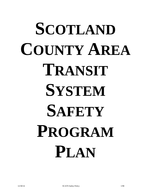# **SCOTLAND COUNTY AREA TRANSIT SYSTEM SAFETY PROGRAM PLAN**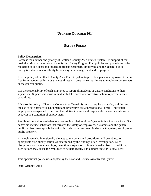# **UPDATED OCTOBER 2014**

# **SAFETY POLICY**

#### **Policy Description**:

Safety is the number one priority of Scotland County Area Transit System. In support of that goal, the primary importance of the System Safety Program Plan policies and procedures is the reduction of accidents and injuries to transit customers, employees and the general public. Safety is a shared responsibility between system management and employees.

It is the policy of Scotland County Area Transit System to provide a place of employment that is free from recognized hazards that could result in death or serious injury to employees, customers or the general public.

It is the responsibility of each employee to report all incidents or unsafe conditions to their supervisor. Supervisors must immediately take necessary corrective action to prevent unsafe conditions.

It is also the policy of Scotland County Area Transit System to require that safety training and the use of safe protective equipment and procedures are adhered to at all times. Individual employees are expected to perform their duties in a safe and responsible manner, as safe work behavior is a condition of employment.

Prohibited behaviors are behaviors that are in violation of the System Safety Program Plan. Such behaviors include behaviors that threaten the safety of employees, customers and the general public. Other unacceptable behaviors include those that result in damage to system, employee or public property.

An employee who intentionally violates safety policy and procedures will be subject to appropriate disciplinary action, as determined by the findings of an investigation. Such discipline may include warnings, demotion, suspension or immediate dismissal. In addition, such actions may cause the employee to be held legally liable under State or Federal Law.

This operational policy was adopted by the Scotland County Area Transit System

Date: October, 2014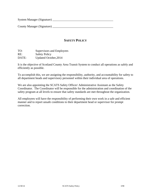System Manager (Signature) \_\_\_\_\_\_\_\_\_\_\_\_\_\_\_\_\_\_\_\_\_\_\_\_\_\_\_\_\_\_\_\_\_\_\_\_\_\_\_\_\_

County Manager (Signature) \_\_\_\_\_\_\_\_\_\_\_\_\_\_\_\_\_\_\_\_\_\_\_\_\_\_\_\_\_\_\_\_\_\_\_\_\_\_\_\_\_

# **SAFETY POLICY**

TO: Supervisors and Employees RE: Safety Policy DATE: Updated October, 2014

It is the objective of Scotland County Area Transit System to conduct all operations as safely and efficiently as possible.

To accomplish this, we are assigning the responsibility, authority, and accountability for safety to all department heads and supervisory personnel within their individual area of operations.

We are also appointing the SCATS Safety Officer/ Administrative Assistant as the Safety Coordinator. The Coordinator will be responsible for the administration and coordination of the safety program at all levels to ensure that safety standards are met throughout the organization.

All employees will have the responsibility of performing their own work in a safe and efficient manner and to report unsafe conditions to their department head or supervisor for prompt correction.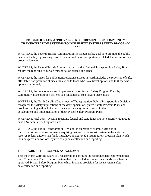# **RESOLUTION FOR APPROVAL OF REQUIREMENT FOR COMMUNITY TRANSPORTATION SYSTEMS TO IMPLEMENT SYSTEM SAFETY PROGRAM PLANS**

WHEREAS, the Federal Transit Administration's strategic safety goal is to promote the public health and safety by working toward the elimination of transportation related deaths, injuries and property damage;

WHEREAS, the Federal Transit Administration and the National Transportation Safety Board require the reporting of certain transportation related accidents;

WHEREAS, the vision for public transportation services in North includes the provision of safe, affordable transportation choices, statewide to those who have travel options and to those whose options are limited;

WHEREAS, the development and implementation of System Safety Program Plans by Community Transportation systems is a fundamental step toward these goals;

WHEREAS, the North Carolina Department of Transportation, Public Transportation Division recognizes the safety implications of the development of System Safety Program Plans and provides training and technical assistance to transit systems to assist in the development and implementation of their System Safety Program Plans;

WHEREAS, rural transit systems receiving federal and state funds are not currently required to have a System Safety Program Plan;

WHEREAS, the Public Transportation Division, in an effort to promote safe public transportation services recommends requiring that each rural transit system in the state that receives federal and/or state funds must have an approved System Safety Program Plan which includes provision for local system safety data collection and reporting;

## THEREFORE BE IT RESOLVED AS FOLLOWS:

That the North Carolina Board of Transportation approves the recommended requirement that each Community Transportation System that receives federal and/or state funds must have an approved System Safety Program Plan which includes provision for local system safety data collection and reporting.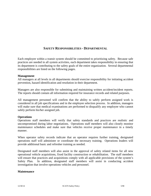# **SAFETY RESPONSIBILITIES - DEPARTMENTAL**

Each employee within a transit system should be committed to prioritizing safety. Because safe practices are needed in all system activities, each department takes responsibility in ensuring that its department is contributing to the safety goals of the entire organization. Several departmental responsibilities are listed on the following pages.

#### **Management**

All managers at all levels in all departments should exercise responsibility for initiating accident prevention, hazard identification and resolution in their department.

Managers are also responsible for submitting and maintaining written accident/incident reports. The reports should contain all information required for insurance records and related purposes.

All management personnel will confirm that the ability to safely perform assigned work is considered in all job specifications and in the employee selection process. In addition, managers will make sure that medical examinations are performed to disqualify any employee who cannot safely perform his/her assigned job.

## **Operations**

Operations staff members will verify that safety standards and practices are realistic and uncompromised during labor negotiations. Operations staff members will also closely monitor maintenance schedules and make sure that vehicles receive proper maintenance in a timely manner.

When operator safety records indicate that an operator requires further training, designated operations staff will administer or coordinate the necessary training. Operations leaders will provide additional basic and refresher training as needed.

Designated staff members will also assist in the approval of safety related items for all new operational vehicle acquisitions, fixed facility construction or rehabilitation. The staff members will ensure that practices and acquisitions comply with all applicable provisions of the system's Safety Plan. In addition, designated staff members will assist in conducting accident investigation that involve operations vehicles and personnel.

#### **Maintenance**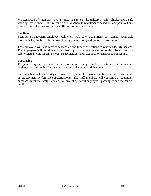Maintenance staff members have an important role in the upkeep of safe vehicles and a safe working environment. Staff members should adhere to maintenance schedules and point out any safety hazards that they recognize while performing their duties.

## **Facilities**

Facilities Management employees will work with other departments to maintain acceptable levels of safety in the facilities project design, engineering and in-house construction.

The employees will also provide reasonable and timely corrections to reported facility hazards. The employees will coordinate with other appropriate departments to confirm the approval of safety-related items for all new vehicle acquisitions and fixed facility construction or repairs.

#### **Purchasing**

The purchasing staff will maintain a list of harmful, dangerous toxic, materials, substances and equipment to ensure that future purchases do not include prohibited items.

Staff members will also verify and assure the system that prospective bidders meet construction or procurement performance specifications. The staff members will confirm that equipment purchases meet the safety standards for protecting transit employees, passengers and the general public.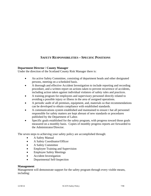# **SAFETY RESPONSIBILITIES – SPECIFIC POSITIONS**

## **Department Director / County Manager**

Under the direction of the Scotland County Risk Manager there is:

- An active Safety Committee, consisting of department heads and other designated persons, meeting on a scheduled basis.
- A thorough and effective Accident Investigation to include reporting and recording procedure, and a written report on actions taken to prevent recurrence of accidents, including action taken against individual violators of safety rules and practices.
- A training program for employees and supervisory personnel directly related to avoiding a possible injury or illness in the area of assigned operations.
- A periodic audit of all premises, equipment, and, materials so that recommendations can be developed to obtain compliance with established standards.
- A communications system established and maintained to ensure t hat all personnel responsible for safety matters are kept abreast of new standards or procedures published by the Department of Labor.
- Specific goals established for the safety program, with progress toward those goals measured on a monthly basis. Copies of monthly progress reports are forwarded to the Administrator/Director.

The seven steps to achieving your safety policy are accomplished through:

- A Safety Manual
- A Safety Coordinator/Officer
- A Safety Committee
- Employee Training and Supervision
- Employee Safety Meetings
- Accident Investigation
- Departmental Self-Inspection

#### **Management**

Management will demonstrate support for the safety program through every visible means, including: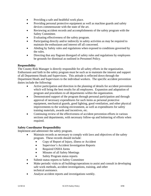- Providing a safe and healthful work place.
- Providing personal protective equipment as well as machine guards and safety devices commensurate with the state of the art.
- Reviewing accident records and accomplishments of the safety program with the Safety Committee.
- Evaluating effectiveness of the safety program.
- Participating directly and/or indirectly in safety activities as may be required to maintain the enthusiasm and interest off all concerned.
- Abiding by Safety rules and regulations when exposed to conditions governed by the rules.
- Directing that any flagrant disregard of safety rules and regulations by employees be grounds for dismissal as outlined in Personnel Policy.

## **Responsibility**

The County Risk Manager is directly responsible for all safety efforts in the organization. Enthusiasm and faith in the safety program must be such as to maintain the interest and support of all Department Heads and Supervisors. This attitude is reflected down through the Department Heads and Supervisors to the individual workers. The specific accident prevention duties include the following:

- Active participation and direction in the planning of details for accident prevention which will bring the best results for all employees. Expansion and adaptation of program and procedures to all departments within the organization.
- Demonstrated support of the program through personal participation and through approval of necessary expenditures for such items as personal protective equipment, mechanical guards, good lighting, good ventilation, and other physical improvements to the working environment, as well as expenditures for safety training materials, awards and incentives, etc.
- Continuing review of the effectiveness of accident prevention efforts in various sections and departments, with necessary follow-up and bolstering of efforts when required.

## **Safety Coordinator Responsibility**

Implement and administer the safety program.

- Maintain records as necessary to comply with laws and objectives of the safety program. These records should include:
	- Copy of Report of Injury, illness or Accident
	- Supervisor's Accident Investigation Reports
	- Required OSHA forms
	- Minutes of all Safety Meetings
	- Safety Program status reports
- Submit status reports to Safety Committee
- Make periodic visits to all buildings/operations to assist and consult in developing safe work methods, accident investigations, training, and other technical assistance.
- Analyze accident reports and investigations weekly.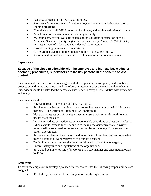- Act as Chairperson of the Safety Committee.
- Promote a "safety awareness " in all employees through stimulating educational training programs.
- Compliance with all OSHA, state and local laws, and established safety standards.
- Assist Supervisors in all matters pertaining to safety.
- Maintain contact with available sources of topical safety information such as American Society of Safety Engineers, National Safety Council, NCALGESCO, NC Department of Labor, and NC Industrial Commission.
- Provide training programs for Supervisors.
- Represent management in the implementation of the Safety Policy.
- Recommend immediate corrective action in cases of hazardous operations.

#### **Supervisors**

# **Because of the close relationship with the employee and intimate knowledge of operating procedures, Supervisors are the key persons in the scheme of loss control.**

Supervisors of each department are charged with the responsibilities of quality and quantity of production within the department, and therefore are responsible for the work conduct of same. Supervisors should be afforded the necessary knowledge to carry out their duties with efficiency and safety.

Supervisors should:

- Have a thorough knowledge of the safety policy.
- Provide instruction and training to workers so that they conduct their job in a safe manner. [(See section on Training New Employees)]
- Make daily inspections of the department to ensure that no unsafe conditions or unsafe practices exist.
- Initiate immediate corrective action where unsafe conditions or practices are found. When a capital expenditure is required to make necessary corrections, a written report shall be submitted to the Agency Administrator/County Manager and the Safety Coordinator.
- Properly complete accident reports and investigate all accidents to determine what must be done to prevent recurrence of a similar accident.
- Be familiar with procedures that must be followed in case of an emergency.
- Enforce safety rules and regulations of the organization.
- Set a good example for safety by working in a safe manner and encouraging others to do so.

## **Employees**

To assist the employee in developing a keen "safety awareness" the following responsibilities are assigned:

To abide by the safety rules and regulations of the organization.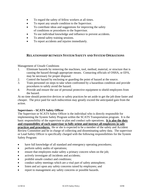- To regard the safety of fellow workers at all times.
- To report any unsafe condition to the Supervisor.
- To contribute ideas and suggestions for improving the safety of conditions or procedures to the Supervisor.
- To use individual knowledge and influence to prevent accidents.
- To attend safety training sessions.
- To report accidents and injuries immediately.

# **RELATIONSHIP BETWEEN SYSTEM SAFETY AND SYSTEM OPERATIONS**

Management of Unsafe Conditions

- 1. Eliminate hazards by removing the machines, tool, method, material, or structure that is causing the hazard through appropriate means. Contacting officials of OSHA, or EPA, may be necessary for proper disposal.
- 2. Control the hazard by enclosing or guarding the point of hazard at the source.
- 3. Train personnel on steps to take when confronted by a hazardous condition and provide procedures to safely avoid the hazard.
- 4. Provide and ensure the use of personal protective equipment to shield employees from the hazard.

At no time should protective devices or safety practices be set aside to get the job done faster and cheaper. The price paid for such indiscretion may greatly exceed the anticipated gain from the action.

#### **Supervisors – SCATS Safety Officer**

The Supervisor or SCATS Safety Officer is the individual who is directly responsible for implementing the System Safety Program within the SCATS Transportation program. It is the basic responsibility of the supervisor to plan and conduct safe operations. **It is also the duty and responsibility of each supervisor to fully orient and instruct all employees in safe practices and procedures.** He or she is expected to be a member of the safety and Accident Review Committee and be in charge of collecting and disseminating safety data. The supervisor or Lead Safety Officer is specifically charged with the following responsibilities for the System Safety Program:

- have full knowledge of all standard and emergency operating procedures;
- perform safety audits of operations;
- ensure that employees make safety a primary concern when on the job;
- actively investigate all incidents and accidents;
- prohibit unsafe conduct and conditions;
- conduct safety meetings which are a vital part of safety atmosphere;
- listen and act upon any safety concerns raised by employees; and
- report to management any safety concerns or possible hazards.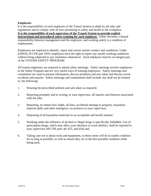## **Employees**

It is the responsibility of each employee of the Transit System to abide by all rules and regulations and to comply with all laws pertaining to safety and health in the workplace. **It is the responsibility of each supervisor of the Transit System to provide explicit instructional and procedural safety training for each employee.** Safety becomes a shared responsibility between management and the employee, and working safely is a condition of employment.

Employees are required to identify, report and correct unsafe conduct and conditions. Under (OSHA) 29 CFR part 1910, employees have the right to report any unsafe working conditions without being subjected to any retaliation whatsoever. Each employee must be an integral part of the SYSTEM SAFETY PROGRAM.

All transit employees are required to attend safety meetings. Safety meetings involve employees in the Safety Program and are very useful ways of training employees. Safety meetings and committees are used to present information, discuss problems and new ideas and discuss recent accidents and injuries. Safety meetings and commitment shall include, but shall not be limited to, the following:

- 1. Wearing the prescribed uniform and safe shoes as required;
- 2. Reporting promptly and in writing, to your supervisor, all injuries and illnesses associated with the jobs;
- 3. Reporting, no matter how slight, all fires, accidental damage to property, hazardous material spills and other emergency occurrences to your supervisor,
- 4. Disposing of all hazardous materials in an acceptable and lawful manner;
- 5. Working under the influence of alcohol or illegal drugs is specifically forbidden. Use of prescription drugs, which may affect your alertness or work abilities, shall be reported to your supervisor (49 CFR parts 40, 653, and 654) and,
- 6. Taking care not to abuse tools and equipment, so these items will be in usable condition for as long as possible, as well as ensure they are in the best possible condition while being used.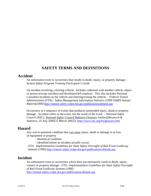# **SAFETY TERMS AND DEFINITIONS**

# **Accident**

An unforeseen event or occurrence that results in death, injury, or property damage – *System Safety Program Training Participant's Guide* 

An incident involving a moving vehicle. Includes collisions with another vehicle, object or person (except suicides) and derailment/left roadway. This also includes Personal Casualties incidents on the vehicle and entering/exiting the vehicle. – *Federal Transit Administration (FTA) - Safety Management Information Statistics (1999 SAMIS Annual Report)(2000)* http://transit-safety.volpe.dot.gov/publications/default.asp

Occurrence in a sequence of events that produces unintended injury, death or property damage. Accident refers to the event, not the result of the event. – *National Safety Council (NSC), National Safety Council Statistics Glossary [online](Research & Statistics, 25 July 2000[15 March 2002]);* http://www.nsc.org/lrs/glossary.htm

# **Hazard**

Any real or potential condition that can cause injury, death or damage to or loss of equipment or property

- theoretical condition
- identified before an incident actually occurs

- *FTA - Implementation Guidelines for State Safety Oversight of Rail Fixed Guideway Systems (1996)* http://transit-safety.volpe.dot.gov/publications/default.asp

# **Incident**

An unforeseen event or occurrence which does not necessarily result in death, injury, contact or property damage - *FTA - Implementation Guidelines for State Safety Oversight of Rail Fixed Guideway Systems (1996)*  http://transit-safety.volpe.dot.gov/publications/default.asp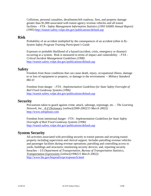Collisions, personal casualties, derailments/left roadway, fires, and property damage greater than \$1,000 associated with transit agency revenue vehicles and all transit facilities - *FTA - Safety Management Information Statistics (1993 SAMIS Annual Report) (1995)* http://transit-safety.volpe.dot.gov/publications/default.asp

# **Risk**

Probability of an accident multiplied by the consequences of an accident (often in \$) - *System Safety Program Training Participant's Guide*

Exposure or probable likelihood of a hazard (accident, crisis, emergency or disaster) occurring at a system. Risk is measured in terms of impact and vulnerability - *FTA - Critical Incident Management Guidelines (1998)*  http://transit-safety.volpe.dot.gov/publications/default.asp

# **Safety**

Freedom from those conditions that can cause death, injury, occupational illness, damage to or loss of equipment or property, or damage to the environment – *Military Standard 882-D*

Freedom from danger - *FTA - Implementation Guidelines for State Safety Oversight of Rail Fixed Guideway Systems (1996)*  http://transit-safety.volpe.dot.gov/publications/default.asp

# **Security**

Precautions taken to guard against crime, attack, sabotage, espionage, etc. – *The Learning Network, Inc., A-Z Dictionary [online](2000-2002[15 March 2002])*  http://www.infoplease.com

Freedom from intentional danger - *FTA - Implementation Guidelines for State Safety Oversight of Rail Fixed Guideway Systems (1996)*  http://transit-safety.volpe.dot.gov/publications/default.asp

# **System Security**

All activities associated with providing security to transit patrons and securing transit property including supervision and clerical support. Includes patrolling revenue vehicles and passenger facilities during revenue operations; patrolling and controlling access to yards, buildings and structures; monitoring security devices; and, reporting security breaches – *US Department of Transportation, Bureau of Transportation Statistics, Transportation Expressions [online](1996[15 March 2002])*  http://www.bts.gov/btsprod/expr/expsearch.html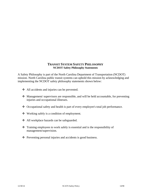## **TRANSIT SYSTEM SAFETY PHILOSOPHY NCDOT Safety Philosophy Statements**

A Safety Philosophy is part of the North Carolina Department of Transportation (NCDOT) mission. North Carolina public transit systems can uphold this mission by acknowledging and implementing the NCDOT safety philosophy statements shown below:

- All accidents and injuries can be prevented.
- Management/ supervisors are responsible, and will be held accountable, for preventing injuries and occupational illnesses.
- Occupational safety and health is part of every employee's total job performance.
- Working safely is a condition of employment.
- All workplace hazards can be safeguarded.
- Training employees to work safely is essential and is the responsibility of management/supervision.
- $\triangle$  Preventing personal injuries and accidents is good business.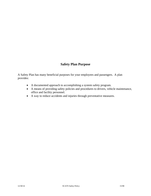# **Safety Plan Purpose**

A Safety Plan has many beneficial purposes for your employees and passengers. A plan provides:

- A documented approach to accomplishing a system safety program.
- A means of providing safety policies and procedures to drivers, vehicle maintenance, office and facility personnel.
- A way to reduce accidents and injuries through preventative measures.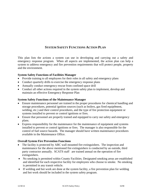# **SYSTEM SAFETY FUNCTIONS ACTION PLAN**

This plan lists the actions a system can use in developing and carrying out a safety and emergency response program. When all aspects are implemented, the action plan can help a system to address emergency and fire prevention requirements that will protect people, property and the environment.

# **System Safety Functions of Facilities Manager**

- Provide training to all employees for their roles in all safety and emergency plans
- Conduct quarterly drills to exercise the emergency response plans
- Annually conduct emergency rescue from confined space drill
- Conduct all other actions required in the system safety plan to implement, develop and maintain an effective Emergency Response Plan

# **System Safety Functions of the Maintenance Manager**

- Ensure maintenance personnel are trained in the proper procedures for chemical handling and storage procedures, potential ignition sources (such as boilers, gas fired equip0ment, welding, etc.) and their control procedures, and the type of fire protection equipment or systems installed to prevent or control ignitions or fires.
- Ensure that personnel are properly trained and equipped to carry out safety and emergency plans.
- Express responsibility for the maintenance for the maintenance of equipment and systems installed to prevent or control ignitions or fires. The manager is also responsible for the control of fuel source hazards. The manager should have written maintenance procedures available in the Maintenance Office.

## **Overall System Fire Prevention Functions**

- The facility is protected by ABC wall mounted fire extinguishers. The inspection and maintenance for the above mentioned fire extinguishers is conducted by an outside, third party contractor annually. SCATS staff are trained annual on the operation of fire extinguishers.
- No smoking is permitted within County Facilities. Designated smoking areas are established and identified for each respective facility for employees who choose to smoke. No smoking is permitted in any transit vehicle.
- If welding and hot work are done at the system facility, a fire prevention plan for welding and hot work should be included in the system safety program.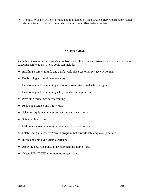• The facility alarm system is tested and maintained by the SCATS Safety Coordinator. Each alarm is tested monthly. Supervisors should be notified before the test.

# **SAFETY GOALS**

As public transportation providers in North Carolina, transit systems can utilize and uphold statewide safety goals. These goals can include:

- Instilling a safety attitude and a safe work place/customer service environment
- $\triangleleft$  Establishing a commitment to safety
- Developing and maintaining a comprehensive, structured safety program
- Developing and maintaining safety standards and procedures
- ❖ Providing formalized safety training
- $\triangleleft$  Reducing accident and injury rates
- $\triangleleft$  Selecting equipment that promotes and enhances safety
- $\div$  Safeguarding hazards
- Making necessary changes in the system to uphold safety
- Establishing an incentive/reward program that rewards safe employee practices
- ❖ Increasing employee safety awareness
- Applying new research and development in safety efforts
- Meet NCDOT/PTD minimum training standard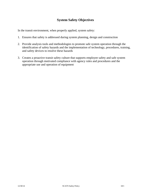# **System Safety Objectives**

In the transit environment, when properly applied, system safety:

- 1. Ensures that safety is addressed during system planning, design and construction
- 2. Provide analysis tools and methodologies to promote safe system operation through the identification of safety hazards and the implementation of technology, procedures, training, and safety devices to resolve these hazards
- 3. Creates a proactive transit safety culture that supports employee safety and safe system operation through motivated compliance with agency rules and procedures and the appropriate use and operation of equipment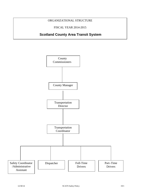# ORGANIZATIONAL STRUCTURE

FISCAL YEAR 2014-2015

# **Scotland County Area Transit System**

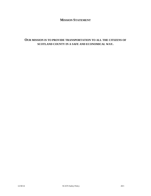# **MISSION STATEMENT**

# **OUR MISSION IS TO PROVIDE TRANSPORTATION TO ALL THE CITIZENS OF SCOTLAND COUNTY IN A SAFE AND ECONOMICAL WAY.**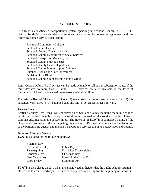# **SYSTEM DESCRIPTION**

SCATS is a consolidated transportation system operating in Scotland County, NC. SCATS offers subscription route and demand/response transportation by contractual agreement with the following human service organization:

 Richmond Community College Scotland Senior Center Scotland County Council on Aging Scotland County Department of Social Services Scotland Enterprises, Monarch, Inc. Scotland County Nutrition Sites Scotland County Health Department Scotland County Partnership for Children Lumber River Council of Government Division of the Blind Scotland County Grandparents Support Group

Rural General Public (RGP) service can be made available on all of our subscription routes if the route deviates no more than 2.5 miles. RGP services are also available in the town of Laurinburg. All service is accessible to persons with disabilities.

The vehicle fleet of STS consists of one (2) twenty-two passenger van cutaways, four (4) 12 passenger vans, three (3) lift equipped vans and one (1) seven passenger mini van..

## **Service Area**

Scotland County Area Transit System serves all of Scotland County including the municipalities within its borders. Sample County is a rural county located on the southern border of North Carolina encompassing 318 square miles. The ridership of **SCATS** is comprised mainly of the clients and consumers of the participating organizations. Destination points are at the discretion of the participating agency and include transportation services to points outside Scotland County.

#### **Days and Hours of Service**

**SCATS** is closed for the following holidays:

| Veterans Day     |                        |
|------------------|------------------------|
| Independence Day | Labor Day              |
| Thanksgiving     | Day After Thanksgiving |
| Christmas Eve    | Christmas Day          |
| New Year's Day   | Martin Luther King Day |
| Good Friday      | <b>Memorial Day</b>    |

**SCATS** is also closed on days when inclement weather dictates that the public school system is closed due to unsafe roadways. This includes any two hour delay for the beginning of the work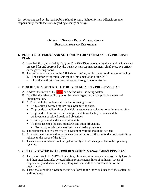day policy imposed by the local Public School System. School System Officials assume responsibility for all decisions regarding closings or delays.

# **GENERAL SAFETY PLAN MANAGEMENT DESCRIPTIONS OF ELEMENTS**

# **1. POLICY STATEMENT AND AUTHORITY FOR SYSTEM SAFETY PROGRAM PLAN**

- A. Establish the System Safety Program Plan (*SSPP*) as an operating document that has been prepared for and approved by the transit system top management, chief executive officer or the governing board.
- B. The authority statement in the *SSPP* should define, as clearly as possible, the following:
	- 1. The authority for establishment and implementation of the *SSPP*
	- 2. How that authority has been delegated through the organization

# **2. DESCRIPTION OF PURPOSE FOR SYSTEM SAFETY PROGRAM PLAN**

- A. Address the intent of the *SSPP* and define why it is being written.
- B. Establish the safety philosophy of the whole organization and provide a means of implementation.
- C. A *SSPP* could be implemented for the following reasons:
	- To establish a safety program on a system wide basis.
	- To provide a medium through which a system can display its commitment to safety.
	- To provide a framework for the implementation of safety policies and the achievement of related goals and objectives.
	- To satisfy federal and state requirements.
	- To meet accepted industry standards and audit provisions.
		- To satisfy self-insurance or insurance carrier provisions.
- D. The relationship of system safety to system operations should be defined.
- E. All departments involved must have a clear definition of their individual responsibilities relative to the scope of the *SSPP*.
- F. This section should also contain system safety definitions applicable to the operating systems.

# **3. CLEARLY STATED GOALS FOR BUS SAFETY MANAGEMENT PROGRAM**

- A. The overall goal of a *SSPP* is to identify, eliminate, minimize and control safety hazards and their attendant risks by establishing requirements, lines of authority, levels of responsibility and accountability, along with methods of documentation for the organization.
- B. These goals should be system-specific, tailored to the individual needs of the system, as well as being: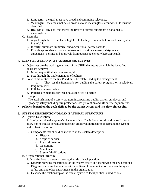- 1. Long term the goal must have broad and continuing relevance.
- 2. Meaningful they must not be so broad as to be meaningless; desired results must be identified.
- 3. Realizable any goal that meets the first two criteria but cannot be attained is meaningless.

# C. Example:

- 1. A goal might be to establish a high level of safety comparable to other transit systems in the U.S.
- 2. Identify, eliminate, minimize, and/or control all safety hazards
- 3. Provide appropriate action and measures to obtain necessary safety-related agreements, permits and approvals from outside agencies, where applicable.

# **4. IDENTIFIABLE AND ATTAINABLE OBJECTIVES**

- A. Objectives are the working elements of the *SSPP*, the means by which the identified goals are achieved.
	- 1. Must be quantifiable and meaningful.
	- 2. Met through the implementation of policies.
- B. Policies are central to the *SSPP* and must be established by top management.
	- 1. They set the framework for guiding the safety program, on a relatively long-term basis.
	- 2. Policies are measurable.
	- 3. Policies are methods for reaching a specified objective.
- C. Example:

 The establishment of a safety program incorporating public, patron, employee, and property safety including fire protection, loss prevention and life safety requirements.

**Policies depend on the goals defined by the transit system and its safety philosophy.** 

# **5. SYSTEM DESCRIPTION/ORGANIZATIONAL STRUCTURE**

## A. System Description

1. Briefly describe the system's characteristics. The information should be sufficient to allow non-technical person and those not employed in transit to understand the system and its basic operation.

- 2. Components that should be included in the system description:
	- a. History
	- b. Scope of service
	- c. Physical features
	- d. Operations
	- e. Maintenance
	- f. System Modifications
- B. Organizational Structure
	- 1. Organizational diagrams showing the title of each position.
	- 2. Diagram showing the structure of the system safety unit identifying the key positions.
	- 3. Diagrams showing the relationships and lines of communication between the system safety unit and other departments in the organization.
	- 4. Describe the relationship of the transit system to local political jurisdictions.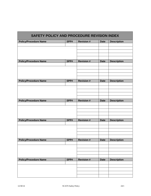| SAFETY POLICY AND PROCEDURE REVISION INDEX |      |                   |             |                    |
|--------------------------------------------|------|-------------------|-------------|--------------------|
| <b>Policy/Procedure Name</b>               | SPP# | <b>Revision #</b> | <b>Date</b> | <b>Description</b> |
|                                            |      |                   |             |                    |
|                                            |      |                   |             |                    |
|                                            |      |                   |             |                    |
|                                            |      |                   |             |                    |
| <b>Policy/Procedure Name</b>               | SPP# | <b>Revision#</b>  | <b>Date</b> | <b>Description</b> |
|                                            |      |                   |             |                    |
|                                            |      |                   |             |                    |
|                                            |      |                   |             |                    |
|                                            |      |                   |             |                    |
|                                            |      |                   |             |                    |
| <b>Policy/Procedure Name</b>               | SPP# | <b>Revision#</b>  | <b>Date</b> | <b>Description</b> |
|                                            |      |                   |             |                    |
|                                            |      |                   |             |                    |
|                                            |      |                   |             |                    |
|                                            |      |                   |             |                    |
| <b>Policy/Procedure Name</b>               | SPP# | <b>Revision#</b>  | <b>Date</b> | <b>Description</b> |
|                                            |      |                   |             |                    |
|                                            |      |                   |             |                    |
|                                            |      |                   |             |                    |
|                                            |      |                   |             |                    |
| <b>Policy/Procedure Name</b>               | SPP# | <b>Revision#</b>  | <b>Date</b> | <b>Description</b> |
|                                            |      |                   |             |                    |
|                                            |      |                   |             |                    |
|                                            |      |                   |             |                    |
|                                            |      |                   |             |                    |
|                                            |      |                   |             |                    |
| <b>Policy/Procedure Name</b>               | SPP# | <b>Revision#</b>  | <b>Date</b> | <b>Description</b> |
|                                            |      |                   |             |                    |
|                                            |      |                   |             |                    |
|                                            |      |                   |             |                    |
|                                            |      |                   |             |                    |
| <b>Policy/Procedure Name</b>               | SPP# | <b>Revision#</b>  | <b>Date</b> | <b>Description</b> |
|                                            |      |                   |             |                    |
|                                            |      |                   |             |                    |
|                                            |      |                   |             |                    |
|                                            |      |                   |             |                    |
|                                            |      |                   |             |                    |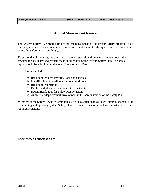| <b>Policy/Procedure Name</b> | SPP# | <b>Revision #</b> | <b>Date</b> | <b>Description</b> |
|------------------------------|------|-------------------|-------------|--------------------|
|                              |      |                   |             |                    |

# **Annual Management Review**

The System Safety Plan should reflect the changing needs of the system safety program. As a transit system evolves and operates, it must consistently monitor the system safety program and adjust the Safety Plan accordingly.

To ensure that this occurs, the transit management staff should prepare an annual report that assesses the adequacy and effectiveness of all phases of the System Safety Plan. The annual report should be submitted to the local Transportation Board.

Report topics include:

- Results of incident investigations and analysis
- $\triangleleft$  Identification of possible hazardous conditions
- $\triangleleft$  Results of inspections
- Established plans for handling future incidents
- Recommendations for Safety Plan revisions
- Analysis of departmental involvement in the administration of the Safety Plan

Members of the Safety Review Committee as well as system managers are jointly responsible for maintaining and updating System Safety Plan. The local Transportation Board must approve the required revisions.

## **AMMEND AS NECESSARY**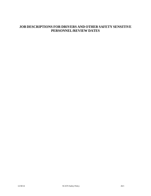# **JOB DESCRIPTIONS FOR DRIVERS AND OTHER SAFETY SENSITIVE PERSONNEL/REVIEW DATES**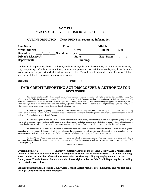# **SAMPLE SCATS MOTOR VEHICLE BACKGROUND CHECK**

#### **MVR INFORMATION: Please PRINT all requested information**

| <b>Last Name:</b>          | <b>First:</b>             | <b>Middle:</b>    |      |
|----------------------------|---------------------------|-------------------|------|
| <b>Street Address:</b>     | City:                     | State:            | Zip: |
| Date of Birth:             | <b>Social Security #:</b> |                   |      |
| <b>Driver's License #:</b> | <b>State:</b>             | <b>Exp. Date:</b> |      |
| Department:                | <b>Building:</b>          |                   |      |

I authorize all corporations, former employers, credit agencies, educational institutions, law enforcement agencies, city, state, county, and federal courts, military services, and persons to release information they may have about me to the person or company with which this form has been filed. This releases the aforesaid parties from any liability and responsibility for collecting the above information.

| Sig<br>11 r o |  |  |  |
|---------------|--|--|--|
|               |  |  |  |

# **FAIR CREDIT REPORTING ACT DISCLOSURE & AUTHORIZATON DISCLOSURE**

 As a current employee of Scotland County Area Transit System, you are a consumer with rights under the Fair Credit Reporting Act. When any of the following circumstances exist, Scotland County Area Transit System may choose to obtain and use information contained in either a consumer report or an investigative consumer report from a agency about you: (1) when considering your application for employment (2) when making a decision whether to offer you employment, (3) when deciding whether to continue your employment (if you are hired), or (4) when making other employment-related decisions directly affecting you.

 A "consumer reporting agency" is a person or business which, for monetary fees, dues, or on a cooperative nonprofit basis, regularly assembles or evaluates consumer credit information or other information on consumers for the purpose of furnishing consumer report to others, such as the Scotland County Area Transit System.

 A "consumer report" means any written, oral or other communication of any information by a consumer reporting agency bearing on your credit worthiness, credit standing, credit capacity, character, general reputation, personal characteristics, or mode of living which is used of expected to be used or collected in whole or in part for the purpose or serving as a factor in establishing your eligibility for employment.

 An "investigative consumer report" means a consumer report or portion thereof in which information on your character, general reputation, personal characteristics, or mode of living is obtained through personal interviews with your neighbors, friends, or associated reported on or with others with who you are acquainted of who may have knowledge concerning any such items of information.

 Scotland County Area Transit System may request an investigative consumer report. You may request, in writing and within a reasonable time, additional disclosures regarding the nature and scope of the investigation as well as a written summary of your rights under Fair Credit Reporting Act.

#### **AUTHORIZATION**

**By signing below, I, \_\_\_\_\_\_\_\_\_\_\_\_\_, hereby voluntarily authorize the Scotland County Area Transit System to obtain either a consumer report or an investigative consumer report about me from a consumer reporting agency and to consider this information when making decisions regarding my employment at Scotland County Area Transit System. I understand that I have rights under the Fair Credit Reporting Act, including the rights discussed above.** 

**I futher understand that Scotland County Area Transit System requires pre-employment and random drug testing of all future and current employees.**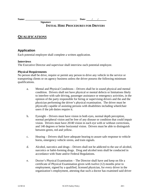**Name: \_\_\_\_\_\_\_\_\_\_\_\_\_\_\_\_\_\_\_\_\_\_\_\_\_\_\_\_\_\_\_\_\_\_\_\_\_\_\_\_\_\_ Date: / /** 

# **INITIAL HIRE PROCEDURES FOR DRIVERS**

# **QUALIFICATIONS**

# **Application**

Each potential employee shall complete a written application.

 **Signature** 

#### **Interviews**

The Executive Director and supervisor shall interview each potential employee.

#### **Physical Requirements**

No person shall be drive, require or permit any person to drive any vehicle in the service or transporting clients or on agency business unless the driver possess the following minimum qualifications.

- a. Mental and Physical Conditions Drivers shall be in sound physical and mental condition. Drivers shall not have physical or mental defects or limitations likely to interfere with safe driving, passenger assistance or emergency activities, in the opinion of the party responsible for hiring or supervising drivers and the and the physician performing the driver's physical examination. The driver must be physically capable of assisting persons with disabilities including wheelchair users if the job duties require it.
- b. Eyesight Drivers must have vision in both eyes, normal depth perception, normal peripheral vision and be free of any disease or condition that could impair vision. Drivers must have 20/40 vision in each eye with or without corrections, and 140 degrees or better horizontal vision. Drivers must be able to distinguish between green, red and yellow.
- c. Hearing Drivers shall have adequate hearing to assure safe response to vehicle horns, emergency vehicle sirens, and train signals.
- d. Alcohol, narcotics and drugs Drivers shall not be addicted to the use of alcohol, narcotics or habit-forming drugs. Drug and alcohol tests shall be conducted in accordance with State and/or Federal Regulations.
- e. Doctor's Physical Examination The Director shall have and keep on file a certificate of Physical Examination given with twelve (12) months prior to employment, signed by a qualified, licensed physician, for every driver in the organization's employment, attesting that such a doctor has examined said driver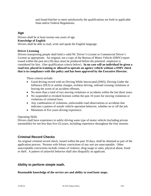and found him/her to meet satisfactorily the qualifications set forth in applicable State and/or Federal Regulations.

## **Age**

Drivers shall be at least twenty-one years of age. **Knowledge of English**  Drivers shall be able to read, write and speak the English language.

#### **Driver Licensing**

Drivers transporting people shall hold a valid NC Driver's License or Commercial Driver's License as appropriate. An original, not a copy of the Bureau of Motor Vehicle (DMV) report issued within the past ten (10) days must be produced before the potential employee is considered for hire. (See qualification criteria below). **In no case will an individual be given a road test, placed in training or allowed to operate an agency vehicle without a DMV check that is in compliance with this policy and has been approved by the Executive Director.** 

These criteria include:

- Good driving record with no Driving While Intoxicated (DWI), Driving Under the Influence (DUI) or similar charges, reckless driving, railroad crossing violations or leaving the scene of an accident offenses.
- No more than a total of two moving violations or accidents within the last three years.
- No suspended or revoked licenses within the past 10 years for moving violations or violations of criminal laws.
- Any combination of violations, unfavorable road observations or accidents that indicates a pattern of unsafe vehicle operation behavior, whether on or off the job.
- Minimum of five years driving experience.

#### Operating Skills

Drivers shall have experience in safely driving some type of motor vehicle (including private automobile) for not less than five (5) years, including experience throughout the four seasons.

# **Criminal Record Checks**

An original criminal record check, issued within the past 10 days, shall be obtained as part of the application process. Persons with felony convictions of any sort are unacceptable. Other unacceptable convictions include crimes of violence, drug usage or sales, physical abuse, fraud or theft. A pattern of unlawful behavior shall also disqualify an applicant.

## **Ability to perform simple math.**

#### **Reasonable knowledge of the service are and ability to read basic maps.**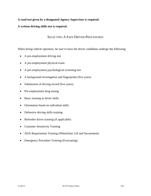## **A road test given by a designated Agency Supervisor is required.**

## **A written driving skills test is required.**

# SELECTING A SAFE DRIVER PROCEDURES

When hiring vehicle operators, be sure to have the driver candidates undergo the following:

- A pre-employment driving test
- A pre-employment physical exam
- A pre-employment psychological screening test
- A background investigation and fingerprints (five years)
- Submission of driving record (five years)
- Pre-employment drug testing
- Basic training in driver skills
- Orientation based on individual skills
- Defensive driving skills training
- Refresher driver training (if applicable)
- Customer Sensitivity Training
- ADA Requirement Training (Wheelchair Lift and Securement)
- Emergency Procedure Training (Evacuating)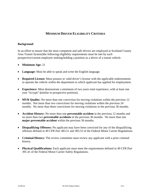# **MINIMUM DRIVER ELIGIBILITY CRITERIA**

#### **Background**

In an effort to ensure that the most competent and safe drivers are employed at Scotland County Area Transit System]the following eligibility requirements must be met by each prospective/current employee seeking/holding a position as a driver of a transit vehicle.

- **Minimum Age:** 21
- **Language:** Must be able to speak and write the English language.
- **Required License:** Must possess or valid driver's license with the applicable endorsements to operate the vehicle within the department to which applicant has applied for employment.
- **Experience:** Must demonstrate a minimum of two years total experience, with at least one year "in-type" **(**similar to prospective position).
- **MVR Quality:** No more than one conviction for moving violations within the previous 12 months. Not more than two convictions for moving violations within the previous 24 months. No more than three convictions for moving violations in the previous 36 months.
- **Accident History:** No more than one **preventable accident** in the previous 12 months and no more than two **preventable accidents** in the previous 36 months. No more than one **major preventable accident** within the previous 36 months.
- **Disqualifying Offenses:** No applicant may have been convicted for any of the disqualifying offenses defined in 49 CFR Part 383.51 and 383.53 of the Federal Motor Carrier Regulations.
- **Criminal History:** The review committee must review any applicant with a prior criminal history.
- **Physical Qualifications:** Each applicant must meet the requirements defined in 49 CFR Part 391.41 of the Federal Motor Carrier Safety Regulations.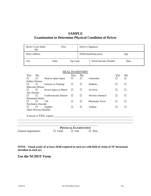# **SAMPLE Examination to Determine Physical Condition of Driver**

| Driver's Last Name<br>MI | First        |          | Driver's Signature |                        |      |
|--------------------------|--------------|----------|--------------------|------------------------|------|
| <b>Street Address</b>    |              |          |                    | $DOB$ (month/day/year) | Age  |
| City                     | <b>State</b> | Zip Code |                    | Social Security Number | Date |

#### HEALTH HISTORY

| Yes         | N <sub>0</sub>          |                               | Yes          | N <sub>o</sub> |                        | Yes      | N <sub>o</sub> |
|-------------|-------------------------|-------------------------------|--------------|----------------|------------------------|----------|----------------|
| П           | □                       | Head or Spine Injury          | ⊔            | □              | Gonorrhea              | ⊔        |                |
|             | <b>Kidney Disease</b>   |                               |              |                |                        |          |                |
|             |                         | Seizures or Fainting          | LI           | ப              | Diabetes               | $\Box$   |                |
|             | <b>Muscular Disease</b> |                               |              |                |                        |          |                |
| П           | □                       | Severe Injury or Illness      | ⊔            | □              | <b>GI</b> Ulcer        | $\Box$   |                |
| Any Disease |                         |                               |              |                |                        |          |                |
| п           |                         | Cardiovascular Disease        | $\mathbf{L}$ | U              | Nervous Stomach        | ⊔        |                |
|             | <b>Permanent Defect</b> |                               |              |                |                        |          |                |
|             | $\perp$                 | T.B.                          |              | П              | <b>Rheumatic Fever</b> | $\Box$   |                |
|             | Psychiatric Disorder    |                               |              |                |                        |          |                |
| □           |                         | Syphilis                      |              | □              | Asthma                 | $\sqcup$ |                |
|             |                         | <b>Other Nervous Disorder</b> |              |                |                        |          |                |

**PHYSICAL EXAMINATION** General Appearance:  $\Box$  Good  $\Box$  Fair  $\Box$  Poor

**NOTE: Visual acuity of at least 20/40 required in each eye with field of vision of 70 horizontal meridian in each eye** 

**Use the NCDOT Form** 

l

l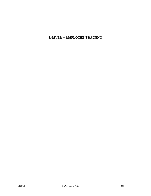# **DRIVER – EMPLOYEE TRAINING**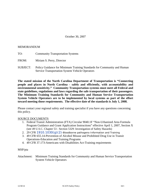October 30, 2007

#### MEMORANDUM

- TO: Community Transportation Systems
- FROM: Miriam S. Perry, Director
- SUBJECT: Policy Guidance for Minimum Training Standards for Community and Human Service Transportation System Vehicle Operators

**The stated mission of the North Carolina Department of Transportation is "Connecting people and places in North Carolina - safely and efficiently, with accountability and environmental sensitivity." Community Transportation systems must meet all Federal and state guidelines, regulations and laws regarding the safe transportation of their passengers. The Minimum Training Standards for Community and Human Service Transportation System Vehicle Operators are to be implemented by local systems as part of the effort toward meeting those requirements. The effective date of the standards is July 1, 2008.** 

Please contact your regional safety and training specialist if you have any questions concerning this policy.

#### SOURCE DOCUMENTS

- 1. Federal Transit Administration (FTA) Circular 9040.1F "Non-Urbanized Area Formula Program Guidance and Grant Application Instructions" effective April 1, 2007, Section X (see 49 U.S.C. Chapter 53 - Section 5329: Investigation of Safety Hazards)
- 2. 29 CFR  $1910.1030(q)(2)$ -Bloodborne pathogens-Information and Training
- 3. 49 CFR 655.14-Prevention of Alcohol Misuse and Prohibited Drug Use in Transit Operations-Education and Training Programs
- 4. 49 CFR 37.173-Americans with Disabilities Act-Training requirements

#### MSP/pta

Attachment: Minimum Training Standards for Community and Human Service Transportation System Vehicle Operators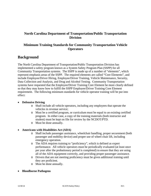# **North Carolina Department of Transportation/Public Transportation Division**

# **Minimum Training Standards for Community Transportation Vehicle Operators**

# **Background**

The North Carolina Department of Transportation/Public Transportation Division has implemented a safety program known as a System Safety Program Plan (SSPP) for all Community Transportation systems. The SSPP is made up of a number of "elements", which represent emphasis areas of the SSPP. The required elements are called "Core Elements", and include Employee/Driver Hiring, Employee/Driver Training, Vehicle Maintenance, Security, Data Collection and Analysis, and Drug and Alcohol Testing. Community Transportation systems have requested that the Employee/Driver Training Core Element be more clearly defined so that they may know how to fulfill the SSPP Employee/Driver Training Core Element requirement. The following minimum standards for vehicle operator training will be put into effect:

## **Defensive Driving**

- o Shall include all vehicle operators, including any employees that operate the vehicles in revenue service;
- o Must be a certified program, or curriculum must be equal to an existing certified program. In either case, a copy of the training materials (both instructor and student) must be kept on file for review by the NCDOT/PTD.
- o Must be done annually.

## **Americans with Disabilities Act (ADA)**

- o Shall include passenger assistance, wheelchair handling, proper securement (both passenger and mobility device) and proper use of wheel chair lift, including emergency operation.
- o The ADA requires training to "proficiency", which is defined as expert performance. All vehicle operators must be periodically evaluated (at least once per year after the probationary period is completed) to ensure that they are using all of the ADA equipment correctly, and providing proper passenger assistance.
- o Drivers that are not meeting proficiency must be given additional training until they are proficient.
- o Must be done annually.
- **Bloodborne Pathogens**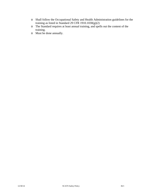- o Shall follow the Occupational Safety and Health Administration guidelines for the training as listed in Standard 29 CFR 1910.1030(g)(2)
- o The Standard requires at least annual training, and spells out the content of the training.
- o Must be done annually.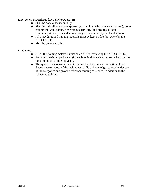### **Emergency Procedures for Vehicle Operators**

- o Shall be done at least annually.
- o Shall include all procedures (passenger handling, vehicle evacuation, etc.), use of equipment (web cutters, fire extinguishers, etc.) and protocols (radio communication, after accident reporting, etc.) required by the local system.
- o All procedures and training materials must be kept on file for review by the NCDOT/PTD.
- o Must be done annually.

### **General**

- o All of the training materials must be on file for review by the NCDOT/PTD.
- o Records of training performed (for each individual trained) must be kept on file for a minimum of five (5) years.
- o The system must make a periodic, but no less than annual evaluation of each driver's performance of the techniques, skills or knowledge required under each of the categories and provide refresher training as needed, in addition to the scheduled training.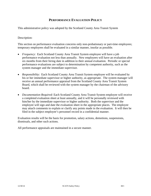## **PERFORMANCE EVALUATION POLICY**

This administrative policy was adopted by the Scotland County Area Transit System

### Description:

This section on performance evaluation concerns only non-probationary or part-time employees; temporary employees shall be evaluated in a similar manner, insofar as possible.

- *Frequency*: Each Scotland County Area Transit System employee will have a job performance evaluation not less than annually. New employees will have an evaluation after six months from their hiring date in addition to their annual evaluation. Periodic or special performance evaluations are subject to determination by competent authority, such as the system manager and the immediate supervisor.
- *Responsibility*: Each Scotland County Area Transit System employee will be evaluated by his or her immediate supervisor or higher authority, as appropriate. The system manager will receive an annual performance appraisal from the Scotland County Area Transit System Board, which shall be reviewed with the system manager by the chairman of the advisory board.
- *Documentation Required*: Each Scotland County Area Transit System employee will receive a completed evaluation sheet at least annually, and it will be personally reviewed with him/her by the immediate supervisor or higher authority. Both the supervisor and the employee will sign and date the evaluation sheet in the appropriate places. The employee may attach comments to explain or clarify any points made in the evaluation. It will then be filed in the subject employee's personnel record in a confidential manner.

Evaluation results will be the basis for promotion, salary actions, demotions, suspensions, dismissals, and other such actions.

All performance appraisals are maintained in a secure manner.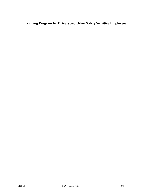**Training Program for Drivers and Other Safety Sensitive Employees**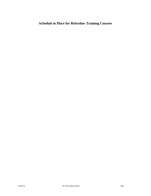# **Schedule in Place for Refresher Training Courses**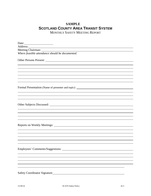# **SAMPLE SCOTLAND COUNTY AREA TRANSIT SYSTEM**

MONTHLY SAFETY MEETING REPORT

Date: Address: Meeting Chairman: *Where feasible attendance should be documented.*  Other Persons Present:  $\overline{a}$  $\overline{a}$ Formal Presentation (Name of presenter and topic): \_\_\_\_\_\_\_\_\_\_\_\_\_\_\_\_\_\_\_\_\_\_\_\_\_\_\_\_\_\_  $\overline{a}$  $\overline{a}$ Other Subjects Discussed: University of the Subjects Discussed:  $\overline{a}$  $\overline{a}$ Reports on Weekly Meetings:  $\overline{a}$  $\overline{a}$ Employees' Comments/Suggestions:  $\overline{a}$ Safety Coordinator Signature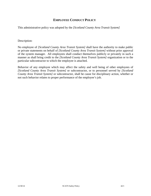## **EMPLOYEE CONDUCT POLICY**

This administrative policy was adopted by the *[Scotland County Area Transit System]*

### Description:

No employee of *[Scotland County Area Transit System]* shall have the authority to make public or private statements on behalf of *[Scotland County Area Transit System]* without prior approval of the system manager. All employees shall conduct themselves publicly or privately in such a manner as shall bring credit to the *[Scotland County Area Transit System]* organization or to the particular subcontractor to which the employee is attached.

Behavior of any employee which may affect the safety and well being of other employees of *[Scotland County Area Transit System]* or subcontractor, or to personnel served by *[Scotland County Area Transit System]* or subcontractor, shall be cause for disciplinary action, whether or not such behavior relates to proper performance of the employee's job.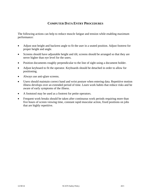# **COMPUTER DATA ENTRY PROCEDURES**

The following actions can help to reduce muscle fatigue and tension while enabling maximum performance:

- Adjust seat height and backrest angle to fit the user in a seated position. Adjust footrest for proper height and angle.
- Screens should have adjustable height and tilt; screens should be arranged so that they are never higher than eye level for the users.
- Position documents roughly perpendicular to the line of sight using a document holder.
- Adjust keyboard to fit the operator. Keyboards should be detached in order to allow for positioning.
- Always use anti-glare screens.
- Users should maintain correct hand and wrist posture when entering data. Repetitive motion illness develops over an extended period of time. Learn work habits that reduce risks and be aware of early symptoms of the illness.
- A footstool may be used as a footrest for petite operators.
- Frequent work breaks should be taken after continuous work periods requiring more than five hours of screen viewing time, constant rapid muscular action, fixed positions on jobs that are highly repetitive.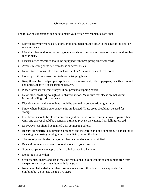# **OFFICE SAFETY PROCEDURES**

The following suggestions can help to make your office environment a safe one:

- Don't place typewriters, calculators, or adding machines too close to the edge of the desk or other surfaces.
- Machines that tend to move during operation should be fastened down or secured with rubber feet or mats.
- Electric office machines should be equipped with three-prong electrical cords.
- Avoid stretching cords between desks or across aisles.
- Never store combustible office materials in HVAC closets or electrical rooms.
- Do not permit floor coverings to become tripping hazards.
- Keep floors clean. Wipe up all spills on floors immediately. Pick up papers, pencils, clips and any objects that will cause tripping hazards.
- Place wastebaskets where they will not present a tripping hazard.
- Never stack anything so high as to obstruct vision. Make sure that stacks are not within 18 inches of ceiling sprinkler heads.
- Electrical cords and phone lines should be secured to prevent tripping hazards.
- Know where building emergency exits are located. These areas should not be used for storage.
- File drawers should be closed immediately after use so no one can run into or trip over them. Only one drawer should be opened at a time to prevent the cabinet from falling forward.
- Entryway steps should be marked with contrasting colors.
- Be sure all electrical equipment is grounded and the cord is in good condition. If a machine is shocking or smoking, unplug it and immediately report the defect.
- The use of portable electric, gas or other heating devices is prohibited.
- Be cautious as you approach doors that open in your direction.
- Slow your pace when approaching a blind corner in a hallway.
- Do not run in corridors.
- Office tables, chairs, and desks must be maintained in good condition and remain free from sharp corners, projecting edges wobbly legs, etc.
- Never use chairs, desks or other furniture as a makeshift ladder. Use a stepladder for climbing but do not use the top two steps.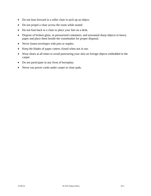- Do not lean forward in a roller chair to pick up an object.
- Do not propel a chair across the room while seated.
- Do not lean back in a chair to place your feet on a desk.
- Dispose of broken glass, in pressurized containers, and unwanted sharp objects in heavy paper and place them beside the wastebasket for proper disposal.
- Never fasten envelopes with pins or staples.
- Keep the blades of paper cutters closed when not in use.
- Wear shoes at all times to avoid puncturing your skin on foreign objects embedded in the carpet.
- Do not participate in any form of horseplay.
- Never run power cords under carpet or chair pads.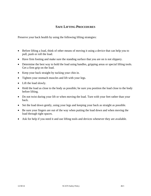# **SAFE LIFTING PROCEDURES**

Preserve your back health by using the following lifting strategies:

- Before lifting a load, think of other means of moving it using a device that can help you to pull, push or roll the load.
- Have firm footing and make sure the standing surface that you are on is not slippery.
- Determine the best way to hold the load using handles, gripping areas or special lifting tools. Get a firm grip on the load.
- Keep your back straight by tucking your chin in.
- Tighten your stomach muscles and lift with your legs.
- Lift the load slowly.
- Hold the load as close to the body as possible; be sure you position the load close to the body before lifting.
- Do not twist during your lift or when moving the load. Turn with your feet rather than your back.
- Set the load down gently, using your legs and keeping your back as straight as possible.
- Be sure your fingers are out of the way when putting the load down and when moving the load through tight spaces.
- Ask for help if you need it and use lifting tools and devices whenever they are available.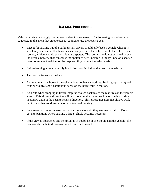## **BACKING PROCEDURES**

Vehicle backing is strongly discouraged unless it is necessary. The following procedures are suggested in the event that an operator is required to use the reverse gear:

- Except for backing out of a parking stall, drivers should only back a vehicle when it is absolutely necessary. If it becomes necessary to back the vehicle while the vehicle is in service, a driver should use an adult as a spotter. The spotter should not be asked to exit the vehicle because that can cause the spotter to be vulnerable to injury. Use of a spotter does not relieve the driver of the responsibility to back the vehicle safely.
- Before backing, check carefully in all directions including the rear of the vehicle.
- Turn on the four-way flashers.
- Begin honking the horn (if the vehicle does not have a working 'backing-up' alarm) and continue to give short continuous beeps on the horn while in motion.
- As a rule when stopping in traffic, stop far enough back to see the rear tires on the vehicle ahead. This allows a driver the ability to go around a stalled vehicle on the left or right if necessary without the need to reverse direction. This procedures does not always work but it is another good example of how to avoid backing.
- Be sure to stay out of intersections and crosswalks until they are free to traffic. Do not get into positions where backing a large vehicle becomes necessary.
- If the view is obstructed and the driver is in doubt, he or she should exit the vehicle (if it is reasonable safe to do so) to check behind and around it.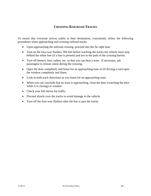# **CROSSING RAILROAD TRACKS**

To insure that everyone arrives safely at their destination, consistently utilize the following procedures when approaching and crossing railroad tracks:

- Upon approaching the railroad crossing, proceed into the far right lane.
- Turn on the four-way flashers 300 feet before reaching the tracks the vehicle must stop behind the white line (if a line is present) and not in the path of the crossing barrier.
- Turn off heaters, fans, radios, etc. so that you can hear a train. If necessary, ask passengers to remain silent during the crossing.
- Open the door completely and listen for an approaching train or (if driving a van) open the window completely and listen.
- Look in both track directions as you listen for an approaching train.
- When you can conclude that no train is approaching, close the door (watching the door while it is closing) or window.
- Check your left mirror for traffic.
- Proceed slowly over the tracks to avoid damage to the vehicle.
- Turn off the four-way flashers after the bus is past the tracks.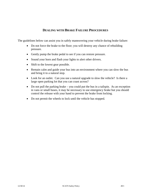# **DEALING WITH BRAKE FAILURE PROCEDURES**

The guidelines below can assist you in safely maneuvering your vehicle during brake failure:

- Do not force the brake to the floor; you will destroy any chance of rebuilding pressure.
- Gently pump the brake pedal to see if you can restore pressure.
- Sound your horn and flash your lights to alert other drivers.
- Shift to the lowest gear possible.
- Remain calm and guide your bus into an environment where you can slow the bus and bring it to a natural stop.
- Look for an outlet. Can you use a natural upgrade to slow the vehicle? Is there a large open parking lot that you can coast across?
- Do not pull the parking brake you could put the bus in a tailspin. As an exception in vans or small buses, it may be necessary to use emergency brake but you should control the release with your hand to prevent the brake from locking.
- Do not permit the wheels to lock until the vehicle has stopped.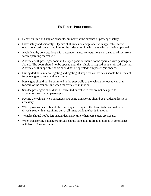# **EN-ROUTE PROCEDURES**

- Depart on time and stay on schedule, but never at the expense of passenger safety.
- Drive safely and smoothly. Operate at all times on compliance with applicable traffic regulations, ordinances, and laws of the jurisdiction in which the vehicle is being operated.
- Avoid lengthy conversations with passengers, since conversations can distract a driver from safely operating the vehicle.
- A vehicle with passenger doors in the open position should not be operated with passengers aboard. The doors should not be opened until the vehicle is stopped or at a railroad crossing. A vehicle with inoperable doors should not be operated with passengers aboard.
- During darkness, interior lighting and lighting of step-wells on vehicles should be sufficient for passengers to enter and exit safely.
- Passengers should not be permitted in the step-wells of the vehicle nor occupy an area forward of the standee line when the vehicle is in motion.
- Standee passengers should not be permitted on vehicles that are not designed to accommodate standing passengers.
- Fueling the vehicle when passengers are being transported should be avoided unless it is necessary.
- When passengers are aboard, the transit system requires the driver to be secured to the driver's seat with a restraining belt at all times while the bus is in motion.
- Vehicles should not be left unattended at any time when passengers are aboard.
- When transporting passengers, drivers should stop at all railroad crossings in compliance with North Carolina Statues.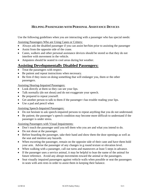# **HELPING PASSENGERS WITH PERSONAL ASSISTANCE DEVICES**

Use the following guidelines when you are interacting with a passenger who has special needs:

Assisting Passengers Who are Using Canes or Critters:

- Always ask the disabled passenger if you can assist her/him prior to assisting the passenger
- Assist from the opposite side of the crane.
- Canes, walkers and other personal assistance devices should be stored so that they do not interfere with movement in the vehicle.
- Amputees should be seated in cool areas during hot weather.

# **Assisting Developmentally Disabled Passengers:**

- Treat the passengers with respect.
- Be patient and repeat instructions when necessary.
- Be firm if they insist on doing something that will endanger you, them or the other passengers.

Assisting Hearing-Impaired Passengers:

- Look directly at them so they can see your lips.
- Talk normally (do not shout) and do not exaggerate your speech.
- Be prepared to repeat yourself.
- Get another person to talk to them if the passenger t has trouble reading your lips.
- Use a pad and pencil when

Assisting Speech-Impaired Passengers:

- Do not hesitate to ask speech-impaired persons to repeat anything that you do not understand.
- Be patient; the passenger's speech condition may become more difficult to understand if the passenger is under stress.

Assisting Passengers with Visual Impairments:

- Don't touch the passenger until you tell them who you are and what you intend to do.
- Do not shout at the passenger.
- Before boarding the passenger, take their hand and show them the door openings as well as the seat and mention any hazards.
- When escorting the passenger, remain on the opposite side of their cane and have them hold your arm. Advise the passenger of any changes in g round texture or elevation level.
- When walking with a passenger, call out turns and maneuvers at least 5 steps in advance.
- If the passenger uses a service animal, it may be helpful to lean the name of the animal for future reference. Avoid any abrupt movements toward the animal or the passengers.
- Seat visually impaired passengers against vehicle walls when possible or seat the passengers in seats with arm rests in order to assist them in keeping their balance.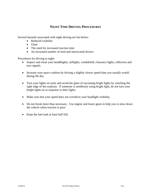# **NIGHT TIME DRIVING PROCEDURES**

Several hazards associated with night driving are list below:

- Reduced visibility
- Glare
- The need for increased reaction time
- An increased number of tired and intoxicated drivers

Procedures for driving at night:

- Inspect and clean your headhlights, taillights, windshield, clearance lights, reflectors and turn signals.
- Increase your space cushion by driving a slightly slower speed than you usually would during the day.
- Turn your lights on early and avoid the glare of oncoming bright lights by watching the right edge of the roadway. If someone is needlessly using bright light, do not turn your bright lights on in response to their lights.
- Make sure that your speed does not overdrive your headlight visibility.
- Do not break more than necessary. Use engine and lower gears to help you to slow down the vehicle when traction is poor.
- Keep the fuel tank at least half full.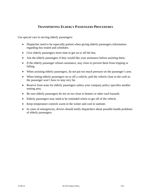# **TRANSPORTING ELDERLY PASSENGERS PROCEDURES**

Use special care in serving elderly passengers:

- Dispatcher need to be especially patient when giving elderly passengers information regarding bus routed and schedules.
- Give elderly passengers more time to get on or off the bus.
- Ask the elderly passengers if they would like your assistance before assisting them.
- If the elderly passenger refuses assistance, stay close to prevent them from tripping or falling.
- When assisting elderly passengers, do not put too much pressure on the passenger's arm.
- When letting elderly passengers on or off a vehicle, pull the vehicle close to the curb so the passenger won't have to step very far.
- Reserve front seats for elderly passengers unless your company policy specifies another seating area.
- Be sure elderly passengers do not sit too close to heaters or other such hazards.
- Elderly passengers may need to be reminded where to get off of the vehicle.
- Keep temperature controls warm in the winter and cool in summer.
- In cases of emergencies, drivers should notify dispatchers about possible health problems of elderly passengers.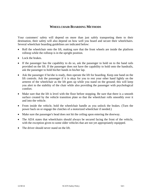## **WHEELCHAIR BOARDING METHODS**

Your customers' safety will depend on more than just safely transporting them to their destination, their safety will also depend on how well you board and secure their wheelchairs. Several wheelchair boarding guidelines are indicated below:

- Roll the wheelchair onto the lift, making sure that the front wheels are inside the platform rollstop while the rollstop is in the upright position.
- Lock the brakes.
- If the passenger has the capability to do so, ask the passenger to hold on to the hand rails provided on the lift. If the passenger does not have the capability to hold onto the handrails, ask the passenger to hold his/her hands in his/her lap.
- Ask the passenger if he/she is ready, then operate the lift for boarding. Keep one hand on the lift controls. Ask the passenger if it is okay for you to rest your other hand lightly on the armrest of the wheelchair as the lift goes up while you stand on the ground; this will keep you alert to the stability of the chair while also providing the passenger with psychological comfort.
- Make sure that the lift is level with the floor before stopping. Be sure that there is a smooth surface created by the vehicle transition plate so that the wheelchair rolls smoothly over it and into the vehicle.
- From inside the vehicle, hold the wheelchair handle as you unlock the brakes. (Turn the power back on or engage the clutches of a motorized wheelchair if needed.)
- Make sure the passenger's head does not hit the ceiling upon entering the doorway.
- The ADA states that wheelchairs should always be secured facing the front of the vehicle, with the exception given to some older vehicles that are not yet appropriately equipped.
- The driver should never stand on the lift.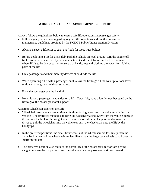# **WHEELCHAIR LIFT AND SECUREMENT PROCEDURES**

Always follow the guidelines below to ensure safe lift operation and passenger safety:

- Follow agency procedures regarding regular lift inspections and use the preventive maintenance guidelines provided by the NCDOT Public Transportation Division.
- Always inspect a lift prior to each use (look for loose nuts, bolts,)
- Before deploying a lift for use, safely park the vehicle on level ground, turn the engine off (unless otherwise specified by the manufacturer) and check for obstacles to avoid in area where lift is to be deployed. Make sure that hands, feet and clothing are away from folding parts of the lift.
- Only passengers and their mobility devices should ride the lift.
- When operating a lift with a passenger on it, allow the lift to go all the way up to floor level or down to the ground without stopping.
- Have the passenger use the handrails.
- Never leave a passenger unattended on a lift. If possible, have a family member stand by the lift to give the passenger moral support.

Assisting Wheelchair Users on the Lift:

- Wheelchair users can choose to ride a lift either facing away from the vehicle or facing the vehicle. The preferred method is to have the passenger facing away from the vehicle because it positions the bulk of the weight where there is more structural support and allows the driver to pull the wheelchair into the vehicle or push the wheelchair onto the lift by the handgrips.
- In the preferred positions, the small front wheels of the wheelchair are less likely than the large back wheels of the wheelchair are less likely than the large back wheels to roll over the platform rollstop.
- The preferred position also reduces the possibility of the passenger's feet or toes getting caught between the lift platform and the vehicle when the passenger is riding upward.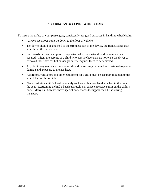# **SECURING AN OCCUPIED WHEELCHAIR**

To insure the safety of your passengers, consistently use good practices in handling wheelchairs:

- **Always** use a four point tie-down to the floor of vehicle.
- Tie-downs should be attached to the strongest part of the device, the frame, rather than wheels or other weak parts.
- Lap boards or metal and plastic trays attached to the chairs should be removed and secured. Often, the parents of a child who uses a wheelchair do not want the driver to removed these devices but passenger safety requires them to be removed.
- Any liquid oxygen being transported should be securely mounted and fastened to prevent damage and exposure to intense heat.
- Aspirators, ventilators and other equipment for a child must be securely mounted to the wheelchair or the vehicle.
- Never restrain a child's head separately such as with a headband attached to the back of the seat. Restraining a child's head separately can cause excessive strain on the child's neck. Many children now have special neck braces to support their he ad during transport.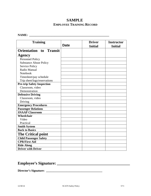# **SAMPLE EMPLOYEE TRAINING RECORD**

### **NAME: \_\_\_\_\_\_\_\_\_\_\_\_\_\_\_\_\_\_\_\_\_\_\_\_\_\_\_\_\_\_\_\_\_\_\_\_\_\_\_\_\_\_\_\_\_\_\_\_\_\_\_\_\_\_**

| <b>Training</b>                   | <b>Date</b> | <b>Driver</b><br><b>Initial</b> | <b>Instructor</b><br><b>Initial</b> |
|-----------------------------------|-------------|---------------------------------|-------------------------------------|
| <b>Orientation to Transit</b>     |             |                                 |                                     |
| <b>Agency</b>                     |             |                                 |                                     |
| <b>Personnel Policy</b>           |             |                                 |                                     |
| <b>Substance Abuse Policy</b>     |             |                                 |                                     |
| <b>Service Policy</b>             |             |                                 |                                     |
| Radio Manual                      |             |                                 |                                     |
| Notebook                          |             |                                 |                                     |
| Timesheet/pay schedule            |             |                                 |                                     |
| Trip sheet/logs/reservations      |             |                                 |                                     |
| <b>Pre-trip Safety Inspection</b> |             |                                 |                                     |
| Classroom, video                  |             |                                 |                                     |
| Demonstration                     |             |                                 |                                     |
| <b>Defensive Driving</b>          |             |                                 |                                     |
| Classroom, video                  |             |                                 |                                     |
| Driving                           |             |                                 |                                     |
| <b>Emergency Procedures</b>       |             |                                 |                                     |
| <b>Passenger Relations</b>        |             |                                 |                                     |
| <b>SNAAP Classroom</b>            |             |                                 |                                     |
| Wheelchair                        |             |                                 |                                     |
| Video                             |             |                                 |                                     |
| Practical                         |             |                                 |                                     |
| <b>Smith System</b>               |             |                                 |                                     |
| <b>Back to Basics</b>             |             |                                 |                                     |
| <b>The Critical point</b>         |             |                                 |                                     |
| <b>Child Passenger Safety</b>     |             |                                 |                                     |
| <b>CPR/First Aid</b>              |             |                                 |                                     |
| <b>Ride Along</b>                 |             |                                 |                                     |
| <b>Driver with Driver</b>         |             |                                 |                                     |

# **Employee's Signature: \_\_\_\_\_\_\_\_\_\_\_\_\_\_\_\_\_\_\_\_\_\_\_\_\_\_\_\_\_\_\_\_\_\_\_\_\_**

# **Director's Signature: \_\_\_\_\_\_\_\_\_\_\_\_\_\_\_\_\_\_\_\_\_\_\_\_\_\_\_\_\_\_\_\_\_\_\_\_\_\_**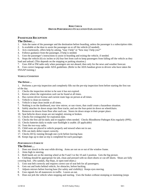#### **RIDE CHECK DRIVER PERFORMANCE EVALUATION EXPLANATION**

### **PASSENGER RECEPTION**

#### **The Driver…**

- 1. Asks the name of the passenger and the destination before boarding, unless the passenger is a subscription rider.
- 2. Is available at the door to assist the passenger on or off the vehicle (if needed).
- 3. Acts courteously, offers help by asking, "may I help" or "how may I help you?"
- 4. Follows guidance from the passenger, if help is needed.
- 5. Uses the passenger's instructions to assist in boarding and exiting the vehicle, if needed.
- 6. Stops the vehicle (6) six inches or (4) four feet from curb to keep passengers from falling off the vehicle as they load and unload. (This depends on the stopping or parking situation.)
- 7. Uses AM or FM radio only when passengers are not aboard, then only for the news and weather forecast.

8. Uses correct language under ADA guidelines. (Refer to the ADA handout given to drivers who have taken the SNAAP training.)

#### *VEHICLE CONDITION*

#### **The Driver…**

1. Performs a pre-trip inspection and completely fills out the pre-trip inspection form before starting the first run of the day.

- 2. Checks the inspection sticker to be sure it has not expired.
- 3. Knows where the registration card can be found at all times.
- 4. Has current driver license and current route logs on person at all times.
- 5. Vehicle is clean on exterior.
- 6. Vehicle is kept clean inside at all times.
- 7. Nothing is on the dashboard, rear view mirror, or sun visors, that could create a hazardous situation.
- 8. Safely attaches tie down straps into floor tracks, and use the four-point tie down on wheelchairs.
- 9. Removes tie downs from floor after each use. Stores tie down straps in their proper place.
- 10. Seat belts/tie down straps are not tangled, missing or broken.
- 11. Checks fire extinguisher for expiration date.
- 12. Checks the first aid kit daily and re-supplies when needed. Checks Bloodborne Pathogen Kits regularly (PPE).
- 13. Checks batteries daily to make sure flashlight is usable. (If applicable)
- 14. Tests the two-way radio.
- 15. Child seats are placed in vehicle properly and stowed when not in use.
- 16. Fills out daily defect report correctly.
- 17. Checks lift by running through one cycle before leaving base.
- 18. Keeps logs up to date as trip is completed for each passenger.

#### *PERFORMANCE ENROUTE*

#### **The Driver…**

- 1. Does not slouch in the seat while driving. Arms are not on or out of the window frame.
- 2. Aims high in steering.
- 3. Both hands are on the steering wheel at the 9 and 3 or the 10 and 2 position. Gets the big picture.

4. Clothing should be appropriate for job, clean and pressed with no short-shorts or cut-off shorts. Shoes are fully covering foot. (No sandals, flip-flops, or open toed shoes.)

- 5. Uses seat belt correctly and requires correct use of seat belt for all passengers.
- 6. Gets out and looks behind vehicle, for obstacles, before backing.
- 7. Adjusts mirrors before leaving base (for safety and visibility). Keeps eyes moving.
- 8. Uses signals for all maneuvers in traffic. Leaves an out.
- 9. Does not jerk the vehicle when stopping and starting. Uses the brakes without stomping or slamming (stops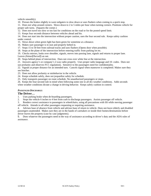vehicle smoothly).

10. Presses the brakes slightly to warn tailgaters to slow down or uses flashers when coming to a quick stop.

11. Does not whip around corners. Slows down to 2 to 5 miles per hour when turning corners. Positions vehicle for proper safe turns. (Squares the corner.)

- 12. Does not travel too slow or too fast for conditions on the road or for the posted speed limit.
- 13. Keeps four seconds distance between vehicles ahead and his.

14. Does not start into the intersection without proper caution, uses the four second rule. Keeps safety cushion under control.

- 15. Slows down when green light has been green for sometime at a distance.
- 16. Makes sure passenger is in seat and properly belted in.
- 17. Stops 15 to 50 feet from railroad tracks and uses flashers (Opens door when possible).
- 18. Stops at the plane of the intersection before entering traffic from parking lot etc.

19. Checks mirrors, looks over shoulder, signals, moves into passing lane, signals and returns to proper lane.

Leaves *(himself/herself*) an out.

- 20. Stops behind plane of intersection. Does not cross over white line at the intersection.
- 21. Answers agency's or company's 2-way radio properly. Uses proper radio language and 10- codes. Does not
- use profanity and observes FCC regulations. Sensitive to the passengers need for confidentiality.

22. Signals at proper distance for an intended turn. Cancels signal when maneuver is completed. Makes sure they see him/her.

- 23. Does not allow profanity or misbehavior in the vehicle.
- 24. Keeps schedule safely, does not jeopardize safety for schedule.
- 25. Only transports passenger on route schedule. No unauthorized passengers or stops.

26. Keeps the four-second rule in mind when following some one in all dry weather conditions. Adds seconds when weather conditions dictate a change in driving behavior. Keeps safety cushion in control.

#### *PASSENGER DISCHARGE:*

#### **The Driver…**

- 1. Uses parking brake when de-boarding passengers.
- 2. Stops the vehicle 6 inches to 4 feet from curb to discharge passengers. Assists passenger off vehicle.
- 3. Renders correct assistance to passengers in wheelchairs, using all precautions with lift while moving passenger off vehicle. Attends to all other passengers requesting or requiring assistance.

4. Advises base of absence from vehicle and advises base of return to vehicle. Does not leave elderly and disabled passengers unattended. Makes sure they are in the hands of caretakers or inside their homes/destinations before driver leaves the property (case by case judgments).

5. Does whatever the passengers need in the way of assistance according to driver's duty and the ADA rules of assistance.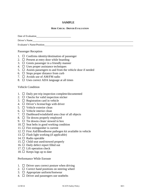### **SAMPLE**

#### **RIDE CHECK: DRIVER EVALUATION**

Date of Evaluation

Driver's Name

Evaluator's Name/Position

### Passenger Reception

- 1.  $\Box$  Confirms identity/destination of passenger
- 2.  $\Box$  Present at entry door while boarding
- 3.  $\Box$  Greets passenger in a friendly manner
- 4.  $\Box$  Uses proper assistance techniques
- 5.  $\Box$  Assists passengers to and from the vehicle door if needed
- 6.  $\Box$  Stops proper distance from curb
- 7.  $\Box$  Avoids use of AM/FM radio
- 8.  $\Box$  Uses correct ADA language at all times

### Vehicle Condition

- 1.  $\Box$  Daily pre-trip inspection complete/documented
- 2.  $\Box$  Checks for valid inspection sticker
- 3.  $\Box$  Registration card in vehicle
- 4.  $\Box$  Driver's license/logs with driver
- $5. \Box$  Vehicle exterior clean
- 6.  $\Box$  Vehicle interior clean
- 7.  $\Box$  Dashboard/windshield area clear of all objects
- 8.  $\Box$  Tie downs properly employed
- 9.  $\Box$  Tie downs clean/ stowed in box
- 10.  $\Box$  Seat belts in good working condition
- 11.  $\Box$  Fire extinguisher is current
- 12.  $\Box$  First Aid/Bloodborne pathogen kit available in vehicle
- 13.  $\Box$  Flash light working (if applicable)
- 14.  $\Box$  Radio operable
- 15.  $\Box$  Child seat used/stowed properly
- 16.  $\Box$  Daily defect report filled out
- 17.  $\Box$  Lift operation check
- 18.  $\Box$  Keeps logs up to date

### Performance While Enroute

- 1.  $\Box$  Driver uses correct posture when driving
- 2.  $\Box$  Correct hand positions on steering wheel
- 3.  $\Box$  Appropriate uniform/footwear
- 4.  $\Box$  Driver and passengers use seatbelts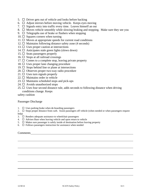- 5.  $\Box$  Driver gets out of vehicle and looks before backing
- 6.  $\Box$  Adjust mirrors before moving vehicle. Keeps eyes moving
- 7.  $\Box$  Signals entry into traffic every time. Leaves himself an out
- 8.  $\Box$  Moves vehicle smoothly while slowing braking and stopping. Make sure they see you
- 9.  $\Box$  Telegraphs use of brake or flashers when stopping
- 10.  $\Box$  Squares corners when turning
- 11.  $\Box$  Moves at appropriate speeds for current road conditions
- 12.  $\Box$  Maintains following distance safety zone (4 seconds)
- 13.  $\Box$  Uses proper caution at intersections
- 14.  $\Box$  Anticipates stale green lights (slows down)
- 15.  $\Box$  Seats passengers properly
- 16.  $\Box$  Stops at all railroad crossings
- 17.  $\Box$  Comes to a complete stop, leaving private property
- 18.  $\Box$  Uses proper lane changing procedure
- 19.  $\Box$  Stops behind line or plane at intersections
- 20.  $\Box$  Observes proper two-way radio procedure
- 21.  $\Box$  Uses turn signals properly
- 22.  $\Box$  Maintains order in vehicle
- 23.  $\Box$  Maintains scheduled stops and pick-ups
- 24.  $\Box$  Avoids unauthorized stops
- 25.  $\Box$  Uses four second distance rule, adds seconds to following distance when driving conditions change. Keeps

safety cushion

Passenger Discharge

1.  $\Box$  Uses parking brake when de-boarding passengers

2.  $\Box$  Stops proper distance from curb. Assist passengers off vehicle (when needed or when passengers request help)

- 3.  $\Box$  Renders adequate assistance to wheelchair passengers
- 4.  $\Box$  Advises Base when leaving vehicle and upon return to vehicle
- 5.  $\Box$  Makes sure passenger is safely inside of destination before leaving property
- 6.  $\Box$  Follows passengers instruction for assistance when needed

#### Comments

 $\overline{a}$ 

 $\overline{a}$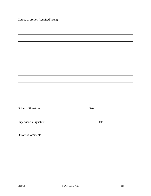| Course of Action (required/taken)<br><u>Course</u> of Action (required/taken) |      |  |
|-------------------------------------------------------------------------------|------|--|
|                                                                               |      |  |
|                                                                               |      |  |
|                                                                               |      |  |
|                                                                               |      |  |
|                                                                               |      |  |
|                                                                               |      |  |
|                                                                               |      |  |
|                                                                               |      |  |
|                                                                               |      |  |
|                                                                               |      |  |
|                                                                               |      |  |
|                                                                               |      |  |
|                                                                               |      |  |
| Driver's Signature                                                            | Date |  |
|                                                                               |      |  |
| Supervisor's Signature                                                        | Date |  |
|                                                                               |      |  |
|                                                                               |      |  |
|                                                                               |      |  |
|                                                                               |      |  |
|                                                                               |      |  |
|                                                                               |      |  |
|                                                                               |      |  |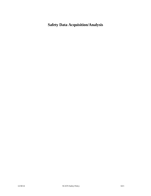# **Safety Data Acquisition/Analysis**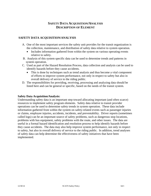# **SAFETY DATA ACQUISITION/ANALYSIS DESCRIPTION OF ELEMENT**

### **SAFETY DATA ACQUISITION/ANALYSIS**

- A. One of the most important services the safety unit provides for the transit organization is the collection, maintenance, and distribution of safety data relative to system operation.
	- Includes information gathered from within the system on various operating events relative to safety.
- B. Analysis of this system specific data can be used to determine trends and patterns in system operation.
- C. Used as part of the Hazard Resolution Process, data collection and analysis can be used to identify hazards before they cause accidents.
	- This is done by techniques such as trend analysis and thus become a vital component of efforts to improve system performance, not only in respect to safety but also in overall delivery of service to the riding public.
- D. The responsibilities for providing, receiving, processing and analyzing data should be listed here and can be general or specific, based on the needs of the transit system.

### **Safety Data Acquisition/Analysis:**

Understanding safety data is an important step toward allocating important (and often scarce) resources to implement safety program elements. Safety data relative to transit provider operations can be used to determine safety trends in system operation. These data include information gathered from within the system on safety-related events such as passenger injuries or claims, employee injuries, accidents, incidents, and preventability. Driver reports (sometimes called logs) can be an important source of safety problems, such as dangerous stop locations, problems with bus equipment, safety problems with the route, and other issues. The data are useful in a formal hazard identification and resolution process to help identify hazards before they cause accidents. The data may also help improve system performance, not only in respect to safety, but also in overall delivery of service to the riding public. In addition, trend analyses of safety data can help determine the effectiveness of safety initiatives that have been implemented.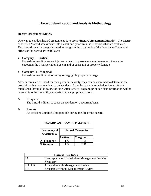# **Hazard Identification and Analysis Methodology**

### **Hazard Assessment Matrix**

One way to conduct hazard assessments is to use a **"Hazard Assessment Matrix"**. The Matrix condenses "hazard assessment" into a chart and prioritizes those hazards that are evaluated. Two hazard severity categories used to designate the magnitude of the "worst case" potential effects of the hazard are as follows:

### **Category I – Critical**

Hazard can result in severe injuries or death to passengers, employees, or others who encounter the Transportation System and/or cause major property damage.

### **Category II – Marginal**

Hazard can result in minor injury or negligible property damage.

After hazards are assessed for their potential severity, they can be examined to determine the probability that they may lead to an accident. As an increase in knowledge about safety is established through the course of the System Safety Program, prior accident information will be factored into the probability analysis if it is appropriate to do so.

### **A Frequent**

The hazard is likely to cause an accident on a recurrent basis.

### **B Remote**

An accident is unlikely but possible during the life of the hazard.

| <b>HAZARD ASSESSMENT MATRIX</b>          |                          |                    |  |
|------------------------------------------|--------------------------|--------------------|--|
| <b>Frequency of</b><br><b>Occurrence</b> | <b>Hazard Categories</b> |                    |  |
|                                          | <b>Critical I</b>        | <b>Marginal II</b> |  |
| A Frequent                               | I A                      | II A               |  |
| <b>B</b> Remote                          | I R                      | II R               |  |

| <b>Hazard Risk Index</b> |                                                   |  |
|--------------------------|---------------------------------------------------|--|
| II A                     | Unacceptable or Undesirable (Management Decision) |  |
|                          | Necessary)                                        |  |
| $\vert$ II A, I B        | Acceptable with Management Review                 |  |
| III B                    | Acceptable without Management Review              |  |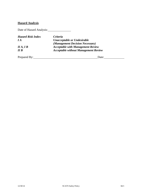## **Hazard Analysis**

Date of Hazard Analysis:

| <b>Hazard Risk Index</b> | <b>Criteria</b>                             |
|--------------------------|---------------------------------------------|
| IA                       | <b>Unacceptable or Undesirable</b>          |
|                          | (Management Decision Necessary)             |
| HA, IB                   | <b>Acceptable with Management Review</b>    |
| II B                     | <b>Acceptable without Management Review</b> |

Prepared By: Date: Date: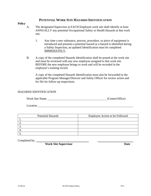### **POTENTIAL WORK SITE HAZARDS IDENTIFICATION**

### **Policy**

- A. The designated Supervisor at EACH Employee work site shall identify at least ANNUALLY any potential Occupational Safety or Health Hazards at that work site.
	- 1. Any time a new substance, process, procedure, or piece of equipment is introduced and presents a potential hazard or a hazard is identified during a Safety Inspection, an updated Identification must be completed IMMEDIATELY.
- B. A copy of the completed Hazards Identification shall be posted at the work site and must be reviewed with any new employee assigned to that work site BEFORE the new employee beings to work and will be recorded in the employee's training record.

A copy of the completed Hazards Identification must also be forwarded to the applicable Program Manager/Director and Safety Officer for review action and for file for follow-up inspections.

### HAZARDS IDENTIFICATION

| (Center/Office) |
|-----------------|
|                 |

Location **Location** 

| <b>Potential Hazards</b> | Employee Action to be Followed |
|--------------------------|--------------------------------|
|                          |                                |
| <u>.</u>                 |                                |
|                          |                                |
|                          |                                |
|                          |                                |

Completed by:

*Work Site Supervisor* Date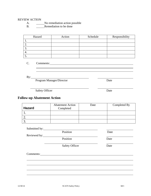## REVIEW ACTION

A. No remediation action possible

B. Remediation to be done

| Hazard | Action | Schedule | Responsibility |
|--------|--------|----------|----------------|
|        |        |          |                |
|        |        |          |                |
|        |        |          |                |
| ┭.     |        |          |                |
|        |        |          |                |

C. Comments:

 $\overline{a}$  $\overline{a}$ 

 $By:$ 

<u> 1989 - Johann Barn, mars eta bainar eta idazlea (</u> Program Manager/Director Date

Safety Officer Date

# **Follow-up Abatement Action**

| <b>Hazard</b> | <b>Abatement Action</b><br>Completed | Date | Completed By |
|---------------|--------------------------------------|------|--------------|
|               |                                      |      |              |
|               |                                      |      |              |
|               |                                      |      |              |

| Submitted by: | Position              | Date |
|---------------|-----------------------|------|
| Reviewed by:  |                       |      |
|               | Position              | Date |
|               | <b>Safety Officer</b> | Date |
| Comments:     |                       |      |

 $\overline{a}$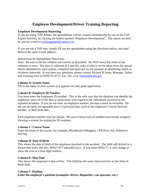# **Employee Development/Driver Training Reporting**

### **Employee Development Reporting**

If you are using TrIP Admin, the spreadsheets will be created automatically by use of the TrIP Export function; by clicking the button marked "Employee Development". The report can then be sent by e-mail to **trainingptd@dot.state.nc.us**.

If you are not a TrIP user, simply fill out the spreadsheet using the directions below, and send them to the same e-mail address.

### Instructions for Spreadsheet Data Entry

Note: Be sure to fill the columns out exactly as described. Do NOT move the order of the columns or rows. The data is collected in a specific order so that it can be taken from the spread sheets submitted by each system, compiled and analyzed for the purpose of identifying trends in incidents statewide. If you have any questions, please contact Richard R Jones, Manager, Safety and Training Unit at (919)733-4713, Ext. 241, or at rrjones@ncdot.gov

### **Column A: System Name**

Fill in the name of your system as it appears on your grant application.

### **Column B: Employee ID Number**

You must enter the Employee ID number. This is the only way that the database can identify the employee, since all of the data is anonymous with regard to the individuals involved in the reported incidents. If you do not enter an employee number, the data cannot be recorded. Do not use an easily recognizable piece of personal data, such as the employee's Social Security number, or their birth date.

Each employee number must be unique. Be sure to keep track of numbers previously assigned. Develop a system for setting the ID numbers.

### **Column C: Course Name**

Enter the name of the course, for example, Bloodborne Pathogens, CPR/First Aid, Defensive Driving.

### **Column D: Date of Birth**

This shows the date of birth of the employee involved in the incident. The field will default to a format that looks like this: 09/02/1977 (mm/dd/yyyy). If you enter 09/02/77, it will change to show the year as a four-digit number.

### **Column E: Hire Date**

This shows the employee's date of hire. This field has the same characteristics as the Date of Birth field.

### **Column F: Position**

**Enter the employee's position (examples: driver, dispatcher, van operator, etc.)**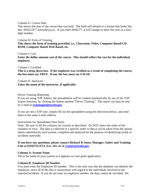Column G: Course Date

This shows the date of the course that was held. The field will default to a format that looks like this: 09/02/1977 (mm/dd/yyyy). If you enter 09/02/77, it will change to show the year as a fourdigit number.

Column H: Form of Training **This shows the form of training provided, i.e., Classroom, Video, Computer Based-CD-ROM, Computer Based-Web Based, etc.** 

Column I: Cost

**Enter the dollar amount cost of the course. This should reflect the cost for the individual employee.** 

Column J: Certified

**This is a drop down box. If the employee was certified as a result of completing the course, the box must say TRUE. If not, the box must say FALSE.** 

Column K: Instructor **Enter the name of the instructor, if applicable.** 

Driver Training Reporting

If you are using TrIP Admin, the spreadsheets will be created automatically by use of the TrIP Export function; by clicking the button marked "Driver Training". The report can then be sent by e-mail to **trainingptd@ncdot.gov**

If you are not a TrIP user, simply fill out the spreadsheet using the directions below, and send them to the same e-mail address.

### Instructions for Spreadsheet Data Entry

Note: Be sure to fill the columns out exactly as described. Do NOT move the order of the columns or rows. The data is collected in a specific order so that it can be taken from the spread sheets submitted by each system, compiled and analyzed for the purpose of identifying trends in incidents statewide.

**If you have any questions, please contact Richard R Jones, Manager, Safety and Training Unit at (919)733-4713, Ext. 241, or at rrjones@ncdot.gov** 

### **Column A: System Name**

Fill in the name of your system as it appears on your grant application.

### **Column B: Employee ID Number**

You must enter the Employee ID number. This is the only way that the database can identify the employee, since all of the data is anonymous with regard to the individuals involved in the reported incidents. If you do not enter an employee number, the data cannot be recorded. Do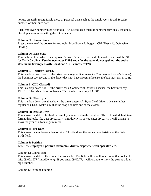not use an easily recognizable piece of personal data, such as the employee's Social Security number, or their birth date.

Each employee number must be unique. Be sure to keep track of numbers previously assigned. Develop a system for setting the ID numbers.

### **Column C: Course Name**

Enter the name of the course, for example, Bloodborne Pathogens, CPR/First Aid, Defensive Driving.

#### **Column D: Issue State**

This is the state in which the employee's driver's license is issued. In most cases it will be NC for North Carolina. **Use the two-letter USPS code for the state, do not spell out the entire state name (example North Carolina=NC, Tennessee=TN).** 

#### **Column E: Regular Classed?**

This is a drop down box. If the driver has a regular license (not a Commercial Driver's license), the box must say TRUE. If the driver does not have a regular license, the box must say FALSE.

### **Column F: CDL Classed?**

This is a drop down box. If the driver has a Commercial Driver's License, the box must say TRUE. If the driver does not have a CDL, the box must say FALSE.

#### **Column G: Class Type**

This is a drop down box that shows the three classes (A, B, or C) of driver's license (either regular or CDL). Make sure that the drop box lists one of the classes.

#### **Column H: Date of Birth**

This shows the date of birth of the employee involved in the incident. The field will default to a format that looks like this: 09/02/1977 (mm/dd/yyyy). If you enter 09/02/77, it will change to show the year as a four-digit number.

#### **Column I: Hire Date**

This shows the employee's date of hire. This field has the same characteristics as the Date of Birth field.

### **Column J: Position Enter the employee's position (examples: driver, dispatcher, van operator, etc.)**

### Column K: Course Date

This shows the date of the course that was held. The field will default to a format that looks like this: 09/02/1977 (mm/dd/yyyy). If you enter 09/02/77, it will change to show the year as a fourdigit number.

Column L: Form of Training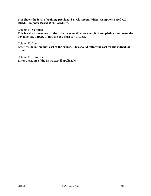**This shows the form of training provided, i.e., Classroom, Video, Computer Based-CD-ROM, Computer Based-Web Based, etc.** 

Column M: Certified

**This is a drop down box. If the driver was certified as a result of completing the course, the box must say TRUE. If not, the box must say FALSE.** 

Column N: Cost **Enter the dollar amount cost of the course. This should reflect the cost for the individual driver.** 

Column O: Instructor **Enter the name of the instructor, if applicable.**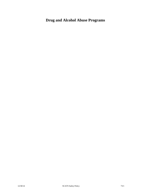# **Drug and Alcohol Abuse Programs**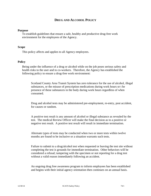### **DRUG AND ALCOHOL POLICY**

#### **Purpose**

To establish guidelines that ensure a safe, healthy and productive drug-free work environment for the employees of the Agency.

#### **Scope**

This policy affects and applies to all Agency employees.

#### **Policy**

Being under the influence of a drug or alcohol while on the job poses serious safety and health risks to the user and to co-workers. Therefore, the Agency has established the following policy to ensure a drug-free work environment:

Scotland County Area Transit System has zero tolerance for the use of alcohol, illegal substances, or the misuse of prescription medications during work hours or t he presence of these substances in the body during work hours regardless of when consumed.

Drug and alcohol tests may be administered pre-employment, re-entry, post accident, for causes or random.

A positive test result is any amount of alcohol or illegal substance as revealed by the test. The medical Review Officer will make the final decision as to a positive or negative test result. A positive test result will result in immediate termination.

Alternate types of tests may be conducted when two or more tests within twelve months are found to be inclusive or a situation warrants such tests.

Failure to submit to a drug/alcohol test when requested or leaving the test site without completing the test is grounds for immediate termination. Other behaviors will be considered a refusal; tampering with the specimen or not reporting for a drug test without a valid reason immediately following an accident.

An ongoing drug free awareness program to inform employees has been established and begins with their initial agency orientation then continues on an annual basis.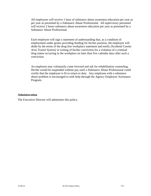All employees will receive 1 hour of substance abuse awareness education per year as per year as presented by a Substance Abuse Professional. All supervisory personnel will receive 2 hours substance abuse awareness education per year as presented by a Substance Abuse Professional.

Each employee will sign a statement of understanding that, as a condition of employment under grants providing funding for his/her position, the employee will abide by the terms of the drug free workplace statement and notify *[Scotland County Area Transit System]* in writing of his/her conviction for a violation of a criminal drug statue occurring in the workplace no later than five calendar days after such a conviction.

An employee may voluntarily come forward and ask for rehabilitation counseling. He/she would be suspended without pay until a Substance Abuse Professional could certify that the employee is fit to return to duty. Any employee with a substance abuse problem is encouraged to seek help through the Agency Employee Assistance Program.

#### **Administration**

The Executive Director will administer this policy.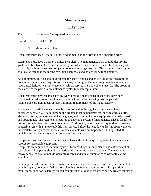## **Maintenance**

April 17, 2007

TO: Community Transportation Systems

FROM: NCDOT/PTD

SUBJECT: Maintenance Plan

Recipients must keep Federally-funded equipment and facilities in good operating order.

Recipients must have a written maintenance plan. The maintenance plan should identify the goals and objectives of a maintenance program, which may include vehicle life, frequency of road calls, maintenance costs compared to total operating costs, etc. The maintenance program should also establish the means by which such goals and objectives will be obtained.

At a minimum, the plan should designate the specific goals and objectives of the program for preventive maintenance inspections, servicing, washing, defect reporting, maintenance-related mechanical failures, warranty recovery, vehicle service life, and vehicle records. The program must address the particular maintenance cycles for each capital item.

Recipients must have records showing when periodic maintenance inspections have been conducted on vehicles and equipment. Include information showing that the periodic maintenance program meets at least minimum requirements of the manufacturer.

Maintenance of ADA elements may be incorporated in the regular maintenance plan or addressed separately. At a minimum, the grantee must demonstrate that such features as lifts, elevators, ramps, securement devices, signage, and communications equipment are maintained and operational. The recipient is required to develop a system of maintenance checks for lifts on non-rail vehicles to ensure proper operation. Additionally, a recipient is required to remove an accessible van with an inoperable lift from service before the next day, unless no spare vehicles are available to replace that vehicle. When a vehicle with an inoperable lift is operated, the vehicle must not be in service for more than five days.

Recipients must keep written maintenance plans and checklist systems, as well as maintenance records for accessible equipment.

Recipients are required to maintain systems for recording warranty claims and enforcement of such claims. Recipients should have written warranty recovery procedures. The warranty recovery system should include warranty records and annual summaries of warranty claims submitted.

Federally funded equipment needs to be maintained whether operated directly by a recipient or by a third-party contractor. When a recipient has contracted out a portion of its operation, a maintenance plan for Federally-funded equipment should be in existence and be treated similarly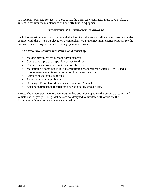to a recipient-operated service. In those cases, the third-party contractor must have in place a system to monitor the maintenance of Federally funded equipment.

### **PREVENTIVE MAINTENANCE STANDARDS**

Each bus transit system must require that all of its vehicles and all vehicle operating under contract with the system be placed on a comprehensive preventive maintenance program for the purpose of increasing safety and reducing operational costs.

#### *The Preventive Maintenance Plan should consist of:*

- Making preventive maintenance arrangements
- Conducting a pre-trip inspection course for driver
- Completing a corresponding inspection checklist
- Maintaining a combined Public Transportation Management System (PTMS), and a comprehensive maintenance record on file for each vehicle
- Completing statistical reporting
- Reporting common problems
- Utilizing a Preventive Maintenance Guidelines Manual
- Keeping maintenance records for a period of at least four years.

\*Note: The Preventive Maintenance Program has been developed for the purpose of safety and vehicle use longevity. The guidelines are not designed to interfere with or violate the Manufacturer's Warranty Maintenance Schedule.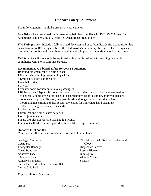### **Onboard Safety Equipment**

The following items should be present in your vehicles:

*Seat Belts* - An adjustable driver's restraining belt that complies with FMVSS 209 (Seat Belt Assemblies) and FMVSS 210 (Seat Belt Anchorages) regulations

*Fire Extinguisher* - Include a fully-charged dry chemical or carbon dioxide fire extinguisher that has at least a 1A:BC rating and bears the Underwriter's Laboratory, Inc. label. The extinguisher should be accessible and securely mounted in a visible place or a clearly marked compartment.

*Red Reflector* - Buses should be equipped with portable red reflector warning devices in compliance with North Carolina Statutes.

#### **Recommended On-board Safety Response Equipment**

10 pound dry chemical fire extinguisher

- 1 first aid kit including instant cold pack(s)
- 5 Emergency Notification Cards
- 1 seat belt cutter
- 1 pry bar
- 1 transfer board for non-ambulatory passengers
- 1 Biohazard kit (disposable gloves for your hands, disinfectant spray for decontamination of any spill, paper towels for clean up, absorbent powder for clean up, approved bags & containers for proper disposal, dust pan, brush and tongs for handling sharps items, mouth and nose mask and disinfectant towelettes for immediate hand cleaning)
- 3 reflective triangles mounted on stands
- 1 reflective vest
- 1 flashlight and a set of extra batteries
- 1 set of jumper cables
- 1 spare tire plus appropriate jack and lug wrench
- 1 camera (with film that is replaced with new film every six months)

#### **Onboard First Aid Kit**

Your onboard first aid kit should consist of the following items:

| <b>Bandage Compress</b>               | <b>CPR Micro-shield Rescue Breather and</b> |
|---------------------------------------|---------------------------------------------|
| Gauze Pads                            | Gloves                                      |
| <b>Triangular Bandages</b>            | Disposable Gloves                           |
| <b>Gauze Bandages</b>                 | <b>Rescue Blanket</b>                       |
| <b>Adhesive Tape</b>                  | <b>Bum Spray</b>                            |
| Sting, Kill Swabs                     | Alcohol Wipes                               |
| <b>Adhesive Bandages</b>              | <b>Scissors</b>                             |
| Sterile Buffered Isotonic Eyewash Kit |                                             |
| <b>Instant Cold Pack</b>              |                                             |

Triple Antibiotic Ointment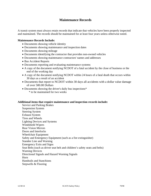### **Maintenance Records**

A transit system must always retain records that indicate that vehicles have been properly inspected and maintained. The records should be maintained for at least four years unless otherwise noted.

#### **Maintenance Records Include:**

- Documents showing vehicle identity
- Documents showing maintenance and inspection dates
- Documents showing mileage
- Documents identifying the contractor that provides non-owned vehicles
- Documents showing maintenance contractors' names and addresses
- Bus Accident Reports
- Documents reporting and evaluating maintenance systems
- A copy of the document notifying NCDOT of a fatal accident by the close of business or the end of the working day
- A copy of the document notifying NCDOT within 24 hours of a fatal death that occurs within 30 days as a result of an accident
- Documents that report to NCDOT within 30 days all accidents with a dollar value damage of over 500.00 Dollars
- Documents showing the driver's daily bus inspections<sup>\*</sup>
	- \* to be maintained for two weeks

#### **Additional items that require maintenance and inspection records include:**

Service and Parking Brakes Suspension System Steering System Exhaust System Tires and Wheels Lighting Devices and Systems Windshield Wipers Rear Vision Mirrors Doors and Interlocks Wheelchair Equipment Safety and Emergency Equipment (such as a fire extinguisher) Standee Line and Warning Emergency Exits and Signs Seat Belts (such as driver seat belt and children's safety seats and belts) Warning Devices Directional Signals and Hazard Warning Signals Horn Handrails and Stanchions Stepwells & Flooring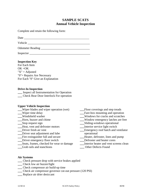## **SAMPLE SCATS Annual Vehicle Inspection**

Complete and retain the following form:

Date \_\_\_\_\_\_\_\_\_\_\_\_\_\_\_\_\_\_\_\_\_\_\_\_\_\_\_\_\_\_\_\_\_\_\_\_\_\_\_\_\_\_\_\_

Vehicle **Example 20** 

Odometer Reading **Exercise 2.2** 

Inspector \_\_\_\_\_\_\_\_\_\_\_\_\_\_\_\_\_\_\_\_\_\_\_\_\_\_\_\_\_\_\_\_\_\_\_\_\_\_\_\_\_

#### **Inspection Key**

For Each Item  $OK = OK$  $"X" = \text{Adjusted}$ "0"= Repairs Are Necessary For Each "0" Give an Explanation

#### **Drive-In Inspection**

**\_\_\_** Inspect all Instrumentation for Operation **\_\_\_** Check Rear Door Interlock For operation

#### **Upper Vehicle Inspection**

- **\_\_\_**Wiper blades and wiper operation (wet) **\_\_\_**Floor coverings and step treads
- 
- 
- 
- 
- **\_\_\_**Heat, vent and defroster motors **\_\_\_**Interior service light switch
- 
- **\_\_\_**Driver seat adjustment and lubeoperational
- 
- 
- **\_\_\_**Seats, frames, checked for wear or damage **\_\_\_**Interior heater and vent screens clean
- **\_\_\_**Grab rails and stanchions **\_\_\_** Other Defects Found
- 
- Wiper time delay **\_\_\_\_**Fare-box mounting and operation<br>
Windshield washer **Windows** for cracks and scratches
	- **\_\_\_**Windshield washer **\_\_\_**Windows for cracks and scratches
- **\_\_\_**Horn, buzzer and chime **\_\_\_**Window emergency latches are free
- **\_\_\_**Stop request sign **\_\_\_**Sliding-windows operational
	-
- **\_\_\_**Driver fresh air vent **\_\_\_**Emergency roof hatch and ventilator
- **\_\_\_**Fire extinguisher full and secure **\_\_\_**Heater, defroster, lines and pump
	- **Driver emergency floor switch <b>Defroster** and heater cores
		-
		-

#### **Air Systems**

- **\_\_\_** Check pressure drop with service brakes applied
- **\_\_\_** Check low air buzzer/light
- **\_\_\_** Check compressor air build-up time
- **\_\_\_** Check air compressor governor cut-out pressure (120 PSI)
- **\_\_\_** Replace air drier desiccant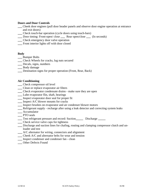#### **Doors and Door Controls**

- **\_\_\_** Cheek door engines (pull door header panels and observe door engine operation at entrance and exit doors)
- **\_\_\_** Check touch-bar operation (cycle doors using touch-bars)
- **\_\_\_** Door timing: Front-open/ close **\_\_\_** Rear open/close **\_\_\_** (In seconds)
- **\_\_\_** Check emergency door valve operation
- **\_\_\_** Front interior lights off with door closed

#### **Body**

- **\_\_\_** Bumper Bolts
- **\_\_\_** Check Wheels for cracks, lug nuts secured
- **\_\_\_** Decals, signs, numbers
- **\_\_\_** Body damage
- **\_\_\_** Destination signs for proper operation (Front, Rear, Back)

#### **Air Conditioning**

- **\_\_\_** Check compressor oil level
- **\_\_\_** Clean or replace evaporator air filters
- **\_\_\_** Check evaporator condensate drains make sure they are open
- **\_\_\_** Lube evaporator flin, shaft, bearings
- **\_\_\_** Inspect evaporator door seal for proper fit
- **\_\_\_** Inspect A/C blower mounts for cracks
- **\_\_\_** Inspect brushes on evaporator and air condenser blower motors
- **\_\_\_** Refrigerant supply recharge after using a leak detector and correcting system leaks
- **\_\_\_** Accumulator
- **\_\_\_** PTO seals
- **\_\_\_** Test refrigerant pressure and record: Suction**\_\_\_\_\_** Discharge **\_\_\_\_\_**
- **\_\_\_** Check service valve caps for tightness
- **\_\_\_** Discharge and suction lines for chafing, routing and clamping compressor clutch and un loader and test
- **\_\_\_** A/C alternator for wiring, connectors and alignment
- **\_\_\_** Cheek A/C and alternator belts for wear and tension
- **\_\_\_** Inspect condenser and condenser fan clean
- **\_\_\_** Other Defects Found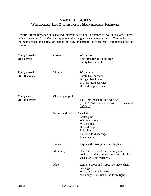## **SAMPLE SCATS WHEELCHAIR LIFT PREVENTATIVE MAINTENANCE SCHEDULE**

Perform lift maintenance at scheduled intervals according to number of cycles or elapsed time, whichever comes first. Correct any potentially dangerous situations at once. Thoroughly read the maintenance and operation manual to fully understand the wheelchair components and its locations.

| <b>Every 2 weeks</b><br>Or 50 cycle   | Grease:                        | Whale slots<br>Fold slots (bridge plate ends)<br>Safety barrier latch                                                          |
|---------------------------------------|--------------------------------|--------------------------------------------------------------------------------------------------------------------------------|
| <b>Every 4 weeks</b><br>Or 100 cycles | Light oil:                     | Whale pins<br>Safety barrier hinge<br>Bridge plate hinge<br>Platform fold bearings<br>Horseshoe pivot pins                     |
| <b>Every</b> year<br>Or 1250 cycles   | Change pump oil:               | 1 qt. Transmission fluid type "A"<br>(fill to $\frac{1}{2}$ " of breather cap with lift down and<br>unfolded)                  |
|                                       | Inspect and replace if needed: | Cotter pins<br>Weldment lever<br>Whale slots<br>Horseshoe pivot<br>Fold slots<br>Platform fold bearings<br>Power cable         |
|                                       | Decals                         | Replace if missing or if not legible                                                                                           |
|                                       | Mounting:                      | Check to see that lift is securely anchored to<br>vehicle and there are no loose bolts, broken<br>welds, or stress fractures.  |
|                                       | Also:                          | Remove cover and inspect cylinder, chains,<br>bearings<br>Hoses and wires for wear<br>or damage. See that all bolts are tight. |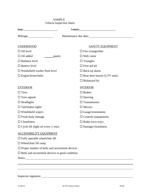| venicie mspection silect                  |                                    |  |  |  |
|-------------------------------------------|------------------------------------|--|--|--|
|                                           |                                    |  |  |  |
| Mileage: 1990                             | Maintenance due date:              |  |  |  |
| <b>UNDERHOOD</b>                          | <b>SAFETY EQUIPMENT</b>            |  |  |  |
| $\Box$ Oil level                          | $\Box$ Fire extinguisher           |  |  |  |
| $\Box$ Oil added<br>quarts                | $\Box$ Web cutter                  |  |  |  |
| $\Box$ Radiator level                     | $\Box$ Triangles                   |  |  |  |
| $\Box$ Battery level                      | $\Box$ First aid kit               |  |  |  |
| $\Box$ Windshield washer fluid level      | $\Box$ Back-up alarm               |  |  |  |
| $\Box$ Engine/hoses/belts                 | $\Box$ Rear door buzzer (LTV only) |  |  |  |
|                                           | $\Box$ Biohazard kit               |  |  |  |
| <b>EXTERIOR</b>                           | <b>INTERIOR</b>                    |  |  |  |
| $\Box$ Tires                              | $\square$ Brakes                   |  |  |  |
| $\Box$ Turn signals                       | $\Box$ Steering                    |  |  |  |
| $\Box$ Headlights                         | $\Box$ Transmission                |  |  |  |
| $\Box$ Tail/brakes lights                 | $\Box$ Mirrors                     |  |  |  |
| $\Box$ Windshield wipers                  | $\Box$ Gauge/instruments           |  |  |  |
| $\Box$ Fresh body damage                  | $\Box$ Controls (equipment)        |  |  |  |
| $\Box$ Cleanliness                        | $\Box$ Radio (two-way)             |  |  |  |
| $\Box$ Cycle lift (light oil every 2 wks) | $\square$ Damage/cleanliness       |  |  |  |
| <b>ACCESSIBILITY EQUIPMENT</b>            |                                    |  |  |  |

#### SAMPLE Vehicle Inspection Sheet

 $\Box$  <br> Fully operable wheelchair lift

□ Wheelchair lift ramp

 $\square$  Proper number of belts and securement devices

 $\Box$  <br> Belts and securement devices in good condition

Notes: Notes:

l

Inspector signature: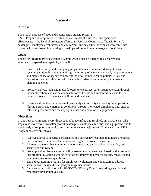## **Security**

### **Purpose**

The overall purpose of Scotland County Area Transit System's

 SSEP Program is to optimize -- within the constraints of time, cost, and operational effectiveness -- the level of protection afforded to Scotland County Area Transit System's passengers, employees, volunteers and contractors, and any other individuals who come into contact with the system, both during normal operations and under emergency conditions.

### **Goals**

The SSEP Program providesScotland County Area Transit System with a security and emergency preparedness capability that will:

- 1. Ensure that security and emergency preparedness are addressed during all phases of system operation, including the hiring and training of agency personnel; the procurement and maintenance of agency equipment; the development agency policies, rules, and procedures; and coordination with local public safety and community emergency planning agencies
- 2. Promote analysis tools and methodologies to encourage safe system operation through the identification, evaluation and resolution of threats and vulnerabilities, and the ongoing assessment of agency capabilities and readiness
- 3. Create a culture that supports employee safety and security and safe system operation (during normal and emergency conditions) through motivated compliance with agency rules and procedures and the appropriate use and operation of equipment

### **Objectives**

In this new environment, every threat cannot be identified and resolved, but SCATS can take steps to be more aware, to better protect passengers, employees, facilities and equipment, and to stand ready to support community needs in response to a major event. To this end, our SSEP Program has five objectives:

- 1. Achieve a level of security performance and emergency readiness that meets or exceeds the operating experience of similarly-sized agencies around the nation
- 2. Increase and strengthen community involvement and participation in the safety and security of our system
- 3. Develop and implement a vulnerability assessment program, and based on the results of this program, establish a course of action for improving physical security measures and emergency response capabilities
- 4. Expand our training program for employees, volunteers and contractors to address security awareness and emergency management issues
- 5. Enhance our coordination with *[NCDOT's Office of Transit]* regarding security and emergency preparedness issues.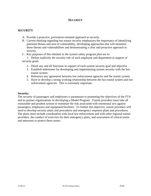### **SECURITY**

#### **SECURITY**

- A. Provide a proactive, prevention-oriented approach to security.
- B. Current thinking regarding bus transit security emphasizes the importance of identifying potential threats and area of vulnerability, developing approaches that will minimize those threats and vulnerabilities and demonstrating a clear and proactive approach to security.
- C. Key purposes of this element in the system safety program plan are to:

 1. Define explicitly the security role of each employee and department in support of security goals

- 2. Detail any and all functions in support of each system security goal and objective
- 3. Establish milestones for developing and implementing system security with the bus transit system.
- 4. Reference any agreement between law enforcement agencies and the transit system.
- 5. Have or develop a strong working relationship between the bus transit system and law enforcement agencies. This is extremely important.

#### **Security:**

The security of passengers and employees is paramount to promoting the objectives of the FTA and its partner organizations in developing a Model Program. Transit providers must take all reasonable and prudent actions to minimize the risk associated with intentional acts against passengers, employees and equipment/facilities. To further this objective, transit providers will need to develop security plans and procedures and emergency response plans and procedures. The plans must include coordination with local law enforcement and with other regional transit providers, the conduct of exercises for their emergency plans, and assessment of critical assets and measures to protect these assets.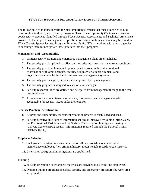#### **FTA'S TOP 20 SECURITY PROGRAM ACTION ITEMS FOR TRANSIT AGENCIES**

The following Action items identify the most important elements that transit agencies should incorporate into their System Security Program Plans. These top twenty (2) items are based on good security practices identified through FTA's Security Assessments and Technical Assistance provided to the largest transit agencies. Specific information on these elements may be found in FTA's *Transit System Security Program Planning Guide.* FTA is working with transit agencies to encourage them to incorporate these practices into their programs.

#### **Management and Accountability**

- 1. Written security program and emergency management plans are established.
- 2. The security plan is updated to reflect anti-terrorist measures and any current conditions.
- 3. The security plan is an integrated system security program, including regional coordination with other agencies, security design criteria in procurements and organizational charts for incident command and management systems.
- 4. The security plan is signed, endorsed and approved by top management.
- 5. The security program is assigned to a senior level manager.
- 6. Security responsibilities are defined and delegated from management through to the front line employees.
- 7. All operations and maintenance supervisor, forepersons, and managers are held accountable for security issues under their control.

#### **Security Problem Identification**

- 8. A threat and vulnerability assessment resolution process is established and used.
- 9. Security sensitive intelligence information sharing is improved by joining InfracGuard, the FBI Regional Task Force and the Surface Transportation Intelligence Sharing  $\&$ Analysis Center (SAC); security information is reported through the National Transit Database (NTD).

#### **Employee Selection**

- 10. Background investigations are conducted on all new front-line operations and maintenance employees (i.e., criminal history, motor vehicle records, credit history).
- 11. Criteria for background investigations are established.

#### **Training**

- 12. Security orientation or awareness materials are provided to all front-line employees.
- 13. Ongoing training programs on safety, security and emergency procedures by work area are provided.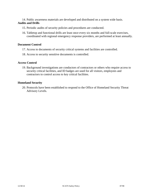14. Public awareness materials are developed and distributed on a system wide basis. **Audits and Drills**

- 15. Periodic audits of security policies and procedures are conducted.
- 16. Tabletop and functional drills are least once every six months and full-scale exercises, coordinated with regional emergency response providers, are performed at least annually.

#### **Document Control**

- 17. Access to documents of security critical systems and facilities are controlled.
- 18. Access to security sensitive documents is controlled.

#### **Access Control**

19. Background investigations are conductors of contractors or others who require access to security critical facilities, and ID badges are used for all visitors, employees and contractors to control access to key critical facilities.

#### **Homeland Security**

20. Protocols have been established to respond to the Office of Homeland Security Threat Advisory Levels.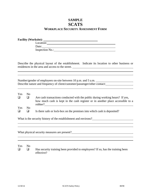## **SAMPLE SCATS WORKPLACE SECURITY ASSESSMENT FORM**

| <b>Facility (Worksite):</b> |  |
|-----------------------------|--|
| Location:                   |  |
| Date:                       |  |
| Inspection No.:             |  |

Describe the physical layout of the establishment. Indicate its location to other business or residences in the area and access to the street.

<u> 1989 - Johann Stoff, amerikansk politiker (\* 1908)</u>

<u> 1989 - Johann Stein, marwolaethau a bhann an t-Amhair ann an t-Amhair an t-Amhair an t-Amhair an t-Amhair an</u>

Number/gender of employees on-site between 10 p.m. and 5 a.m. Describe nature and frequency of client/customer/passenger/other contact:

| Yes | No.                     |                                                                                           |
|-----|-------------------------|-------------------------------------------------------------------------------------------|
| ❏   |                         | Are cash transactions conducted with the public during working hours? If yes,             |
|     |                         | how much cash is kept in the cash register or in another place accessible to a<br>robber? |
| Yes | $\overline{N}_{\Omega}$ |                                                                                           |
| ◻   |                         | Is there safe or lock-box on the premises into which cash is deposited?                   |

What is the security history of the establishment and environs?<br>
<u>Letting</u>

What physical security measures are present?

#### Yes No

l  $\overline{a}$ 

l

l  $\overline{a}$ 

l

 $\Box$  Has security training been provided to employees? If so, has the training been effective?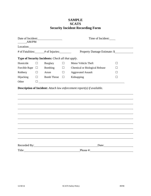## **SAMPLE SCATS Security Incident Recording Form**

| Date of Incident:<br>AM/PM                   |        |                                                                                                                                                                                                                                      | Time of Incident: |                                                                     |                              |  |
|----------------------------------------------|--------|--------------------------------------------------------------------------------------------------------------------------------------------------------------------------------------------------------------------------------------|-------------------|---------------------------------------------------------------------|------------------------------|--|
|                                              |        | Location: <u>contract the contract of the contract of the contract of the contract of the contract of the contract of the contract of the contract of the contract of the contract of the contract of the contract of the contra</u> |                   |                                                                     |                              |  |
| # of Fatalities: _____# of Injuries: _______ |        |                                                                                                                                                                                                                                      |                   |                                                                     | Property Damage Estimate: \$ |  |
|                                              |        | Type of Security Incidents: Check all that apply.                                                                                                                                                                                    |                   |                                                                     |                              |  |
| Homicide                                     |        | <b>Burglary</b>                                                                                                                                                                                                                      | $\perp$           | Motor Vehicle Theft                                                 |                              |  |
| Forcible Rape $\Box$                         |        | Bombing                                                                                                                                                                                                                              | $\Box$            | <b>Chemical or Biological Release</b>                               |                              |  |
| Robbery                                      | $\Box$ | Arson                                                                                                                                                                                                                                | $\Box$            | <b>Aggravated Assault</b>                                           |                              |  |
| Hijacking                                    | $\Box$ | <b>Bomb Threat</b>                                                                                                                                                                                                                   | $\Box$            | Kidnapping                                                          |                              |  |
| Other                                        | П      |                                                                                                                                                                                                                                      |                   | <u> 1980 - Andrea Station Barbara, amerikan personal (h. 1980).</u> |                              |  |
|                                              |        |                                                                                                                                                                                                                                      |                   |                                                                     |                              |  |
|                                              |        |                                                                                                                                                                                                                                      |                   |                                                                     |                              |  |
|                                              |        |                                                                                                                                                                                                                                      |                   |                                                                     |                              |  |
|                                              |        |                                                                                                                                                                                                                                      |                   |                                                                     |                              |  |
|                                              |        |                                                                                                                                                                                                                                      |                   |                                                                     |                              |  |
|                                              |        |                                                                                                                                                                                                                                      |                   |                                                                     |                              |  |
|                                              |        |                                                                                                                                                                                                                                      |                   |                                                                     | Date:                        |  |
| Title:                                       |        |                                                                                                                                                                                                                                      |                   | Phone #:                                                            |                              |  |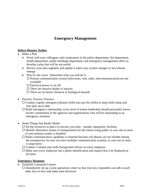## **Emergency Management**

#### **Before Disaster Strikes**

- Make a Plan
	- Work with your colleagues and counterparts in the police department, fire department, health department, public buildings department, and emergency management office to develop a plan that will be successful
	- Review your plan regularly and update it when your system changes or new threats emerge
	- Plan for the worst. Determine what you will do if...

 $\square$  Normal communication system (television, web, radio, telecommunication) are not available

 $\Box$  Electrical power is cut off

 $\Box$  There are massive deaths or injuries

 $\square$  There are air-borne chemical or biological hazards

• Practice, Practice, Practice

 $\Box$  Conduct regular emergency/disaster drills (not just fire drills) to keep skills sharp and your plan up-to-date

- $\Box$  Build interagency relationship; every level of transit leadership should personally knows his/her counterparts in the agencies and organizations who will be responding to an emergency situation
- Some Things that Really Matter
	- $\Box$  Put the resources in place to execute your plan people, equipment, facilities
	- $\Box$  Identify alternative means of transportation for the transit-using public in case one or more of your primary modes is disabled
	- $\Box$  Radio communication capability is essential because cell phones are not reliable during the emergencies; be sure you have multiple communication systems, in case one or more is inoperative
	- $\Box$  Conduct criminal and credit background checks on every employee
	- $\Box$  Make sure every employee has a photo identification and require that it be displayed at all times

#### **Emergency Response**

Establish Command Central

 $\Box$  Immediately set up a joint operations center so that your key responders can talk to each other face-to-face and make joint decisions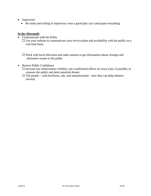• Improvise!

*.* 

Be ready and willing to improvise; even a good plan can't anticipate everything

#### **In the Aftermath**

• Communicate with the Public

 $\Box$  Use your website to communicate your service plans and availability with the public on a real-time basis.

 $\Box$  Work with local television and radio stations to get information about closings and alternative routes to the public

- Restore Public Confidence
	- $\Box$  Increase law enforcement visibility; put a uniformed officer on every train, if possible, to reassure the public and deter potential threats
	- $\Box$  Tell people with brochures, ads, and announcement how they can help enhance security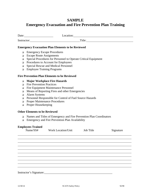## **SAMPLE Emergency Evacuation and Fire Prevention Plan Training**

|                                                                              | Date: $\frac{1}{2}$ Date:                                                                                                                                                                                                                                   |                                                                                                                                                                                                                                   | Location: <u>contract and contract and contract and contract and contract and contract and contract and contract and contract and contract and contract and contract and contract and contract and contract and contract and con</u> |           |
|------------------------------------------------------------------------------|-------------------------------------------------------------------------------------------------------------------------------------------------------------------------------------------------------------------------------------------------------------|-----------------------------------------------------------------------------------------------------------------------------------------------------------------------------------------------------------------------------------|--------------------------------------------------------------------------------------------------------------------------------------------------------------------------------------------------------------------------------------|-----------|
|                                                                              | Instructor: Title:                                                                                                                                                                                                                                          |                                                                                                                                                                                                                                   |                                                                                                                                                                                                                                      |           |
|                                                                              |                                                                                                                                                                                                                                                             | <b>Emergency Evacuation Plan Elements to be Reviewed</b>                                                                                                                                                                          |                                                                                                                                                                                                                                      |           |
| $\Box$<br>$\Box$<br>$\Box$<br>$\Box$<br>$\Box$<br>$\Box$                     | <b>Emergency Escape Procedures</b><br><b>Escape Route Assignments</b><br>Special Procedures for Personnel to Operate Critical Equipment<br>Procedures to Account for Employees<br>Special Rescue and Medical Personnel<br><b>Employee Training Programs</b> |                                                                                                                                                                                                                                   |                                                                                                                                                                                                                                      |           |
|                                                                              |                                                                                                                                                                                                                                                             | <b>Fire Prevention Plan Elements to be Reviewed</b>                                                                                                                                                                               |                                                                                                                                                                                                                                      |           |
| $\Box$<br>$\Box$<br>$\Box$<br>$\Box$<br>$\Box$<br>$\Box$<br>$\Box$<br>$\Box$ | <b>Fire Prevention Practices</b><br><b>Alarm Systems</b><br>Proper Housekeeping                                                                                                                                                                             | <b>Major Workplace Fire Hazards</b><br>Fire Equipment Maintenance Personnel<br>Means of Reporting Fires and other Emergencies<br>Personnel Responsible for Control of Fuel Source Hazards<br><b>Proper Maintenance Procedures</b> |                                                                                                                                                                                                                                      |           |
|                                                                              | <b>Other Elements to be Reviewed</b>                                                                                                                                                                                                                        |                                                                                                                                                                                                                                   |                                                                                                                                                                                                                                      |           |
| $\Box$<br>$\Box$                                                             |                                                                                                                                                                                                                                                             | Names and Titles of Emergency and Fire Prevention Plan Coordinators<br>Emergency and Fire Prevention Plan Availability                                                                                                            |                                                                                                                                                                                                                                      |           |
|                                                                              | <b>Employees Trained</b><br>Name/SS#                                                                                                                                                                                                                        | <b>Work Location/Unit</b>                                                                                                                                                                                                         | <b>Job</b> Title                                                                                                                                                                                                                     | Signature |
|                                                                              |                                                                                                                                                                                                                                                             |                                                                                                                                                                                                                                   |                                                                                                                                                                                                                                      |           |
|                                                                              |                                                                                                                                                                                                                                                             |                                                                                                                                                                                                                                   |                                                                                                                                                                                                                                      |           |

Instructor's Signature:\_\_\_\_\_\_\_\_\_\_\_\_\_\_\_\_\_\_\_\_\_\_\_\_\_\_\_\_\_\_\_\_\_\_\_\_\_\_\_\_\_\_\_\_\_\_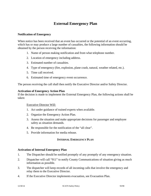## **External Emergency Plan**

#### **Notification of Emergency**

When notice has been received that an event has occurred or the potential of an event occurring, which has or may produce a large number of casualties, the following information should be obtained by the person receiving the information:

- 1. Name of person making notification and from what telephone number.
- 2. Location of emergency including address.
- 3. Estimated number of casualties.
- 4. Type of emergency (fire, explosion, plane crash, natural, weather related, etc.).
- 5. Time call received.
- 6. Estimated time of emergency event occurrence.

The person receiving the call shall then notify the Executive Director and/or Safety Director.

#### **Activation of Emergency Action Plan**

If the decision is made to implement the External Emergency Plan, the following actions shall be taken:

#### Executive Director Will:

- 1. Act under guidance of trained experts when available.
- 2. Organize the Emergency Action Plan.
- 3. Assess the situation and make appropriate decisions for passenger and employee safety as situation demands.
- 4. Be responsible for the notification of the "all clear".
- 5. Provide information for media release.

#### **INTERNAL EMERGENCY PLAN**

#### **Activation of Internal Emergency Plan**

- 1. The Dispatcher should be notified promptly of any promptly of any emergency situation.
- 2. Dispatcher will call "911" to notify County Communications of situation giving as much information as possible.
- 3. The dispatcher will keep records of all incoming calls that involve the emergency and relay them to the Executive Director.
- 4. If the Executive Director implements evacuation, see Evacuation Plan.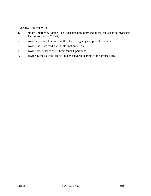### Executive Director Will:

- 1. Initiate Emergency Action Plan if deemed necessary and be the contact at the *[Disaster Operations (Board Room).]*
- 2. Provides a means to inform staff of the emergency and provide updates.
- 3. Provide the news media with information release.
- 4. Provide personnel to assist Emergency Operations.
- 5. Provide agencies with vehicle layouts and/or blueprints of the affected area.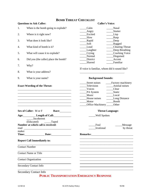## **BOMB THREAT CHECKLIST**

|                              | <b>Questions to Ask Caller:</b>                                                                                                                                                                                                      |                                               | <b>Caller's Voice:</b>                |
|------------------------------|--------------------------------------------------------------------------------------------------------------------------------------------------------------------------------------------------------------------------------------|-----------------------------------------------|---------------------------------------|
| 1.                           | When is the bomb going to explode?                                                                                                                                                                                                   | Calm                                          | <b>Nasal</b>                          |
|                              |                                                                                                                                                                                                                                      | Angry                                         | Stutter                               |
| 2.                           | Where is it right now?                                                                                                                                                                                                               | Excited                                       | Lisp                                  |
|                              |                                                                                                                                                                                                                                      | Slow                                          | Rasp                                  |
| 3.                           | What does it look like?                                                                                                                                                                                                              | _Rapid                                        | $\qquad \qquad$ Deep                  |
|                              | What kind of bomb is it?                                                                                                                                                                                                             | Soft<br>Loud                                  | ______Ragged                          |
| 4.                           |                                                                                                                                                                                                                                      | Laughter                                      | ____Clearing Throat<br>Deep Breathing |
| 5.                           | What will cause it to explode?                                                                                                                                                                                                       | $_{\rm{Crying}}$                              | _____Cracking Voice                   |
|                              |                                                                                                                                                                                                                                      | Normal                                        | ____Disguised                         |
| 6.                           | Did you (the caller) place the bomb?                                                                                                                                                                                                 | _District                                     | Accent                                |
|                              |                                                                                                                                                                                                                                      | Slurred                                       | Familiar                              |
| 7.                           | Why?                                                                                                                                                                                                                                 |                                               |                                       |
|                              |                                                                                                                                                                                                                                      | If voice is familiar, whom did it sound like? |                                       |
| 8.                           | What is your address?                                                                                                                                                                                                                |                                               |                                       |
| 9.                           | What is your name?                                                                                                                                                                                                                   | <b>Background Sounds:</b>                     |                                       |
|                              |                                                                                                                                                                                                                                      | Street noises                                 | ____Factory machinery                 |
|                              | <b>Exact Wording of the Threat:</b>                                                                                                                                                                                                  | Television                                    | Animal noises                         |
|                              |                                                                                                                                                                                                                                      | Voices                                        | Clear                                 |
|                              |                                                                                                                                                                                                                                      | _____PA System                                | _____Static                           |
|                              | <u> 1989 - Johann Stein, mars an deutscher Stein und der Stein und der Stein und der Stein und der Stein und der</u>                                                                                                                 | Music                                         | Local                                 |
|                              |                                                                                                                                                                                                                                      | House noises                                  | ____Long Distance                     |
|                              |                                                                                                                                                                                                                                      | Motor                                         | Booth                                 |
|                              |                                                                                                                                                                                                                                      | _____Office Machinery ______Other             |                                       |
|                              | Sex of Caller: M or F<br>Race:_________                                                                                                                                                                                              |                                               | <b>Threat Language:</b>               |
|                              | Age: Length of Call:                                                                                                                                                                                                                 | <b>Well Spoken</b>                            |                                       |
|                              | Incoherent                                                                                                                                                                                                                           |                                               |                                       |
|                              | (Educated) Taped                                                                                                                                                                                                                     |                                               |                                       |
|                              | Number at which call is received:                                                                                                                                                                                                    | Foul                                          | Message                               |
| read                         | <u>and the state of the state of the state of the state of the state of the state of the state of the state of the state of the state of the state of the state of the state of the state of the state of the state of the state</u> | Irrational                                    | by threat                             |
| maker                        |                                                                                                                                                                                                                                      |                                               |                                       |
| Time:                        | Date:                                                                                                                                                                                                                                | Remarks:                                      |                                       |
|                              | <b>Report Call Immediately to:</b>                                                                                                                                                                                                   |                                               |                                       |
|                              | <b>Contact Number</b>                                                                                                                                                                                                                |                                               |                                       |
| <b>Contact Name or Title</b> |                                                                                                                                                                                                                                      |                                               |                                       |
| <b>Contact Organization</b>  |                                                                                                                                                                                                                                      |                                               |                                       |
|                              | <b>Secondary Contact Info</b>                                                                                                                                                                                                        |                                               |                                       |
|                              | <b>Secondary Contact Info</b>                                                                                                                                                                                                        |                                               |                                       |

## **PUBLIC TRANSPORTATION EMERGENCY RESPONSE**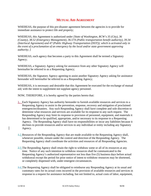### **MUTUAL AID AGREEMENT**

WHEREAS, the purpose of this pre-disaster agreement between the agencies is to provide for immediate assistance to protect life and property;

WHEREAS, this Agreement is authorized under *[State of Washington, RCW's 35 (City), 36 (County), 38.52 (Emergency Management), 36.57A (Public transportation benefit authority), 39.34 (Interlocal Agreement) and 47 (Public Highway Transportation (DOT)); which is activated only in the event of a proclamation of an emergency by the local and/or state government approving authority; ]* 

WHEREAS, each agency that becomes a party to this Agreement shall be termed a Signatory Agency;

WHEREAS, a Signatory Agency asking for assistance from any other Signatory Agency will hereinafter be referred to as a Requesting Agency;

WHEREAS, the Signatory Agency agreeing to assist another Signatory Agency asking for assistance hereunder will hereinafter be referred to as a Responding Agency;

WHEREAS, it is necessary and desirable that this Agreement be executed for the exchange of mutual aid; with the intent to supplement not supplant agency personnel.

NOW, THEREFORE, it is hereby agreed by the parties hereto that:

- 1. Each Signatory Agency has authority hereunder to furnish available resources and services to a Requesting Agency to assist in the prevention, response, recovery and mitigation of proclaimed emergencies/disasters. Any such Responding Agency shall have complete and sole discretion to determine what resources and services are available for its response to any such request. The Responding Agency may limit its response to provision of personnel, equipment, and materials it has determined to be qualified, appropriate, and/or necessary to its response to a Requesting Agency. The Responding Agency shall have no responsibilities or incur any liabilities because it declines to provide resources and/or services to any individual or entity including any Signatory Agency.
- 1.2.Resources of the Responding Agency that are made available to the Requesting Agency shall, whenever possible, remain under the control and direction of the Responding Agency. The Requesting Agency shall coordinate the activities and resources of all Responding Agencies.
- 2.3.The Responding Agency shall retain the right to withdraw some or all of its resources at any time. Notice of any such intention to withdraw resources shall be communicated to the Requesting Agency's authorized representative not less than five (5) business days before actual withdrawal except the period for prior notice of intent to withdraw resources may be shortened, or completely dispensed with, under emergent circumstances.
- 3.4.The Requesting Agency shall be obligated to reimburse any Responding Agency at its usual and customary rates for its actual costs incurred in the provision of available resources and services in response to a request for assistance including, but not limited to, actual costs of labor, equipment,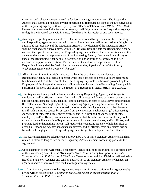materials, and related expenses as well as for loss or damage to equipment. The Responding Agency shall submit an itemized invoice specifying all reimbursable costs to the Executive Head of the Requesting Agency within sixty (60) days after completion of work *[(RCW 38.52.080)]*. Unless otherwise agreed, the Requesting Agency shall fully reimburse the Responding Agency for legitimate invoiced costs within ninety (90) days after its receipt of any such invoice.

- 4.5.Any dispute regarding reimbursable costs that is not resolved by agreement of the Requesting and Responding Agencies involved with that particular invoice shall be decided in writing by the authorized representative of the Requesting Agency. The decision of the Requesting Agency shall be final and conclusive unless, within ten (10) days from the date the Responding Agency receives its copy of that decision, the Responding Agency mails or otherwise furnishes a written appeal to the authorized representative of the Requesting Agency. In connection with any such appeal, the Responding Agency shall be afforded an opportunity to be heard and to offer evidence in support of its position. The decision of the authorized representative of the Requesting Agency shall be final subject to appeal to the *[Superior Court of the State of Washington, situate in the County of Thurston]*.
- 5.6.All privileges, immunities, rights, duties, and benefits of officers and employees of the Responding Agency shall remain in effect while those officers and employees are performing functions and duties at the request of a Requesting Agency, unless otherwise provided by law. Employees of the Responding Agency shall remain employees of the Responding Agency while performing functions and duties at the request of a Requesting Agency *[(RCW 38.52.080)].*
- 6.7.The Requesting Agency shall indemnify and hold any Responding Agency, and its agents, employees, and/or officers, harmless from and shall process and defend at its own expense any and all claims, demands, suits, penalties, losses, damages, or costs of whatsoever kind or nature (hereafter "claims") brought against any Responding Agency arising out of or incident to the execution, performance, or failure to perform of or under this Agreement; provided, however, that if such claims are caused by or result from the concurrent negligence of (a) a Requesting Agency, its agents, employees, and/or officers; and (b) a Responding Agency, its agents, employees, and/or officers, this indemnity provision shall be valid and enforceable only to the extent of the negligence of the Requesting Agency, its agents, employees, and/or officers; and provided further that nothing herein shall require the Requesting Agency to hold harmless or defend a Responding Agency, its agents, employees, and/or officers, from any claims arising from the sole negligence of a Responding Agency, its agents, employees, and/or officers.
- 7.8.This Agreement shall be effective upon approval by two or more Signatory Agencies and shall remain in effect so long as two or more Signatory Agencies remain consenting parties to this Agreement.
- 8.9. Upon execution of this Agreement, a Signatory Agency shall send an original or a certified copy of the executed agreement to the *[Washington State Department of Transportation, Public Transportation and Rail Division.]* The Public Transportation and Rail Division shall maintain a list of all Signatory Agencies and send an updated list to all Signatory Agencies whenever an agency is added or removed from the list of Signatory Agencies.
- 9.10. Any Signatory Agency to this Agreement may cancel its participation in this Agreement by giving written notice to the *[Washington State Department of Transportation, Public Transportation and Rail Division.]*